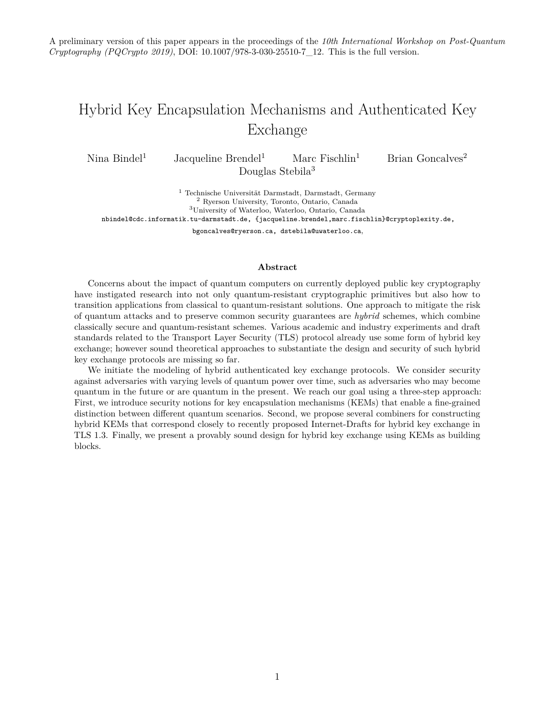A preliminary version of this paper appears in the proceedings of the *10th International Workshop on Post-Quantum Cryptography (PQCrypto 2019)*, DOI: [10.1007/978-3-030-25510-7\\_12.](https://doi.org/10.1007/978-3-030-25510-7_12) This is the full version.

## Hybrid Key Encapsulation Mechanisms and Authenticated Key Exchange

Nina Bindel<sup>1</sup> Jacqueline Brendel<sup>1</sup> Marc Fischlin<sup>1</sup> Brian Goncalves<sup>2</sup> Douglas Stebila<sup>3</sup>

 Technische Universität Darmstadt, Darmstadt, Germany Ryerson University, Toronto, Ontario, Canada University of Waterloo, Waterloo, Ontario, Canada nbindel@cdc.informatik.tu-darmstadt.de, {jacqueline.brendel,marc.fischlin}@cryptoplexity.de,

bgoncalves@ryerson.ca, dstebila@uwaterloo.ca,

#### **Abstract**

Concerns about the impact of quantum computers on currently deployed public key cryptography have instigated research into not only quantum-resistant cryptographic primitives but also how to transition applications from classical to quantum-resistant solutions. One approach to mitigate the risk of quantum attacks and to preserve common security guarantees are *hybrid* schemes, which combine classically secure and quantum-resistant schemes. Various academic and industry experiments and draft standards related to the Transport Layer Security (TLS) protocol already use some form of hybrid key exchange; however sound theoretical approaches to substantiate the design and security of such hybrid key exchange protocols are missing so far.

We initiate the modeling of hybrid authenticated key exchange protocols. We consider security against adversaries with varying levels of quantum power over time, such as adversaries who may become quantum in the future or are quantum in the present. We reach our goal using a three-step approach: First, we introduce security notions for key encapsulation mechanisms (KEMs) that enable a fine-grained distinction between different quantum scenarios. Second, we propose several combiners for constructing hybrid KEMs that correspond closely to recently proposed Internet-Drafts for hybrid key exchange in TLS 1.3. Finally, we present a provably sound design for hybrid key exchange using KEMs as building blocks.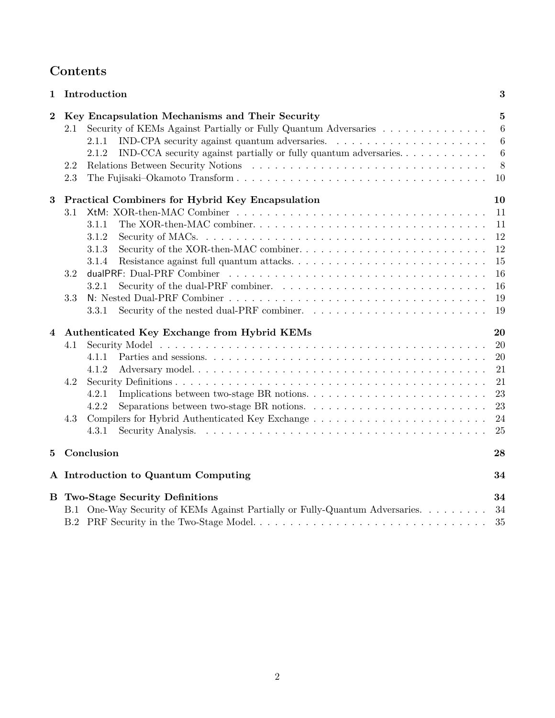## **Contents**

| 1        | Introduction                                                                                                                                                                                                                                                                                                                     | 3                                                              |
|----------|----------------------------------------------------------------------------------------------------------------------------------------------------------------------------------------------------------------------------------------------------------------------------------------------------------------------------------|----------------------------------------------------------------|
| $\bf{2}$ | Key Encapsulation Mechanisms and Their Security<br>Security of KEMs Against Partially or Fully Quantum Adversaries<br>2.1<br>IND-CPA security against quantum adversaries. $\ldots \ldots \ldots \ldots \ldots \ldots \ldots$<br>2.1.1<br>IND-CCA security against partially or fully quantum adversaries<br>2.1.2<br>2.2<br>2.3 | $\bf{5}$<br>$6\phantom{.}6$<br>$6\phantom{.}6$<br>6<br>8<br>10 |
| $\bf{3}$ | Practical Combiners for Hybrid Key Encapsulation                                                                                                                                                                                                                                                                                 | 10                                                             |
|          | 3.1                                                                                                                                                                                                                                                                                                                              | 11                                                             |
|          | 3.1.1                                                                                                                                                                                                                                                                                                                            | 11                                                             |
|          | 3.1.2                                                                                                                                                                                                                                                                                                                            | 12                                                             |
|          | Security of the XOR-then-MAC combiner<br>3.1.3                                                                                                                                                                                                                                                                                   | 12                                                             |
|          | 3.1.4                                                                                                                                                                                                                                                                                                                            | 15                                                             |
|          | 3.2                                                                                                                                                                                                                                                                                                                              | 16                                                             |
|          | 3.2.1                                                                                                                                                                                                                                                                                                                            | 16                                                             |
|          | 3.3                                                                                                                                                                                                                                                                                                                              | 19                                                             |
|          | 3.3.1                                                                                                                                                                                                                                                                                                                            | 19                                                             |
| 4        | Authenticated Key Exchange from Hybrid KEMs                                                                                                                                                                                                                                                                                      | 20                                                             |
|          | 4.1                                                                                                                                                                                                                                                                                                                              | 20                                                             |
|          | 4.1.1                                                                                                                                                                                                                                                                                                                            | 20                                                             |
|          | 4.1.2                                                                                                                                                                                                                                                                                                                            | 21                                                             |
|          | 4.2                                                                                                                                                                                                                                                                                                                              | 21                                                             |
|          | 4.2.1                                                                                                                                                                                                                                                                                                                            | 23                                                             |
|          | Separations between two-stage BR notions. $\ldots \ldots \ldots \ldots \ldots \ldots \ldots \ldots$<br>4.2.2                                                                                                                                                                                                                     | 23                                                             |
|          | 4.3                                                                                                                                                                                                                                                                                                                              | 24                                                             |
|          | 4.3.1                                                                                                                                                                                                                                                                                                                            | 25                                                             |
| 5        | Conclusion                                                                                                                                                                                                                                                                                                                       | 28                                                             |
|          | A Introduction to Quantum Computing                                                                                                                                                                                                                                                                                              | 34                                                             |
| В        | <b>Two-Stage Security Definitions</b>                                                                                                                                                                                                                                                                                            | 34                                                             |
|          | B.1 One-Way Security of KEMs Against Partially or Fully-Quantum Adversaries.                                                                                                                                                                                                                                                     | 34                                                             |
|          |                                                                                                                                                                                                                                                                                                                                  | 35                                                             |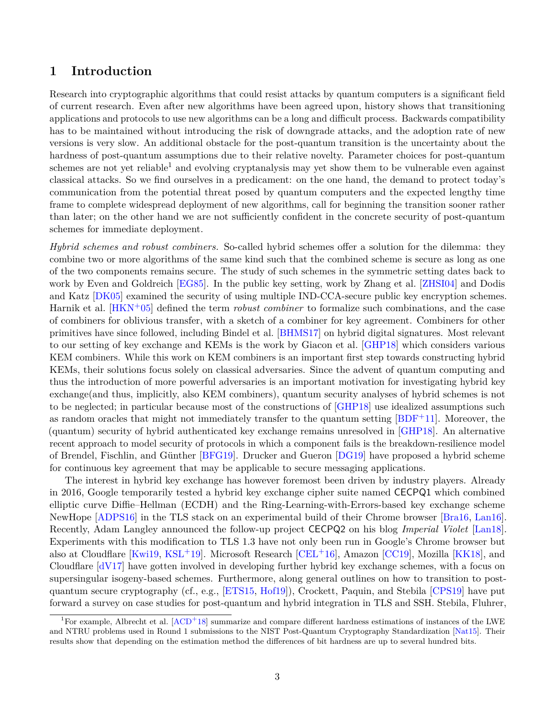## <span id="page-2-0"></span>**1 Introduction**

Research into cryptographic algorithms that could resist attacks by quantum computers is a significant field of current research. Even after new algorithms have been agreed upon, history shows that transitioning applications and protocols to use new algorithms can be a long and difficult process. Backwards compatibility has to be maintained without introducing the risk of downgrade attacks, and the adoption rate of new versions is very slow. An additional obstacle for the post-quantum transition is the uncertainty about the hardness of post-quantum assumptions due to their relative novelty. Parameter choices for post-quantum schemes are not yet reliable<sup>[1](#page-2-1)</sup> and evolving cryptanalysis may yet show them to be vulnerable even against classical attacks. So we find ourselves in a predicament: on the one hand, the demand to protect today's communication from the potential threat posed by quantum computers and the expected lengthy time frame to complete widespread deployment of new algorithms, call for beginning the transition sooner rather than later; on the other hand we are not sufficiently confident in the concrete security of post-quantum schemes for immediate deployment.

*Hybrid schemes and robust combiners.* So-called hybrid schemes offer a solution for the dilemma: they combine two or more algorithms of the same kind such that the combined scheme is secure as long as one of the two components remains secure. The study of such schemes in the symmetric setting dates back to work by Even and Goldreich [\[EG85\]](#page-30-0). In the public key setting, work by Zhang et al. [\[ZHSI04\]](#page-32-0) and Dodis and Katz [\[DK05\]](#page-30-1) examined the security of using multiple IND-CCA-secure public key encryption schemes. Harnik et al. [\[HKN](#page-30-2)+05] defined the term *robust combiner* to formalize such combinations, and the case of combiners for oblivious transfer, with a sketch of a combiner for key agreement. Combiners for other primitives have since followed, including Bindel et al. [\[BHMS17\]](#page-29-0) on hybrid digital signatures. Most relevant to our setting of key exchange and KEMs is the work by Giacon et al. [\[GHP18\]](#page-30-3) which considers various KEM combiners. While this work on KEM combiners is an important first step towards constructing hybrid KEMs, their solutions focus solely on classical adversaries. Since the advent of quantum computing and thus the introduction of more powerful adversaries is an important motivation for investigating hybrid key exchange(and thus, implicitly, also KEM combiners), quantum security analyses of hybrid schemes is not to be neglected; in particular because most of the constructions of [\[GHP18\]](#page-30-3) use idealized assumptions such as random oracles that might not immediately transfer to the quantum setting  $[BDF+11]$  $[BDF+11]$ . Moreover, the (quantum) security of hybrid authenticated key exchange remains unresolved in [\[GHP18\]](#page-30-3). An alternative recent approach to model security of protocols in which a component fails is the breakdown-resilience model of Brendel, Fischlin, and Günther [\[BFG19\]](#page-28-1). Drucker and Gueron [\[DG19\]](#page-29-1) have proposed a hybrid scheme for continuous key agreement that may be applicable to secure messaging applications.

The interest in hybrid key exchange has however foremost been driven by industry players. Already in 2016, Google temporarily tested a hybrid key exchange cipher suite named CECPQ1 which combined elliptic curve Diffie–Hellman (ECDH) and the Ring-Learning-with-Errors-based key exchange scheme NewHope [\[ADPS16\]](#page-28-2) in the TLS stack on an experimental build of their Chrome browser [\[Bra16,](#page-29-2) [Lan16\]](#page-31-0). Recently, Adam Langley announced the follow-up project CECPQ2 on his blog *Imperial Violet* [\[Lan18\]](#page-31-1). Experiments with this modification to TLS 1.3 have not only been run in Google's Chrome browser but also at Cloudflare [\[Kwi19,](#page-31-2) [KSL](#page-31-3)+19]. Microsoft Research [\[CEL](#page-29-3)+16], Amazon [\[CC19\]](#page-29-4), Mozilla [\[KK18\]](#page-30-4), and Cloudflare [\[dV17\]](#page-30-5) have gotten involved in developing further hybrid key exchange schemes, with a focus on supersingular isogeny-based schemes. Furthermore, along general outlines on how to transition to postquantum secure cryptography (cf., e.g., [\[ETS15,](#page-30-6) [Hof19\]](#page-30-7)), Crockett, Paquin, and Stebila [\[CPS19\]](#page-29-5) have put forward a survey on case studies for post-quantum and hybrid integration in TLS and SSH. Stebila, Fluhrer,

<span id="page-2-1"></span><sup>&</sup>lt;sup>1</sup>For example, Albrecht et al.  $[ACD<sup>+</sup>18]$  $[ACD<sup>+</sup>18]$  summarize and compare different hardness estimations of instances of the LWE and NTRU problems used in Round 1 submissions to the NIST Post-Quantum Cryptography Standardization [\[Nat15\]](#page-31-4). Their results show that depending on the estimation method the differences of bit hardness are up to several hundred bits.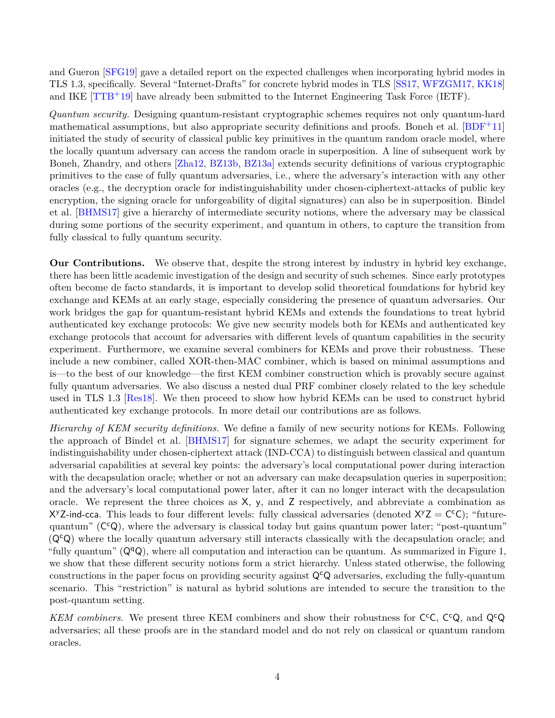and Gueron [\[SFG19\]](#page-31-5) gave a detailed report on the expected challenges when incorporating hybrid modes in TLS 1.3, specifically. Several "Internet-Drafts" for concrete hybrid modes in TLS [\[SS17,](#page-31-6) [WFZGM17,](#page-32-1) [KK18\]](#page-30-4) and IKE [\[TTB](#page-31-7)+19] have already been submitted to the Internet Engineering Task Force (IETF).

*Quantum security.* Designing quantum-resistant cryptographic schemes requires not only quantum-hard mathematical assumptions, but also appropriate security definitions and proofs. Boneh et al.  $[BDF^+11]$  $[BDF^+11]$ initiated the study of security of classical public key primitives in the quantum random oracle model, where the locally quantum adversary can access the random oracle in superposition. A line of subsequent work by Boneh, Zhandry, and others [\[Zha12,](#page-32-2) [BZ13b,](#page-29-6) [BZ13a\]](#page-29-7) extends security definitions of various cryptographic primitives to the case of fully quantum adversaries, i.e., where the adversary's interaction with any other oracles (e.g., the decryption oracle for indistinguishability under chosen-ciphertext-attacks of public key encryption, the signing oracle for unforgeability of digital signatures) can also be in superposition. Bindel et al. [\[BHMS17\]](#page-29-0) give a hierarchy of intermediate security notions, where the adversary may be classical during some portions of the security experiment, and quantum in others, to capture the transition from fully classical to fully quantum security.

**Our Contributions.** We observe that, despite the strong interest by industry in hybrid key exchange, there has been little academic investigation of the design and security of such schemes. Since early prototypes often become de facto standards, it is important to develop solid theoretical foundations for hybrid key exchange and KEMs at an early stage, especially considering the presence of quantum adversaries. Our work bridges the gap for quantum-resistant hybrid KEMs and extends the foundations to treat hybrid authenticated key exchange protocols: We give new security models both for KEMs and authenticated key exchange protocols that account for adversaries with different levels of quantum capabilities in the security experiment. Furthermore, we examine several combiners for KEMs and prove their robustness. These include a new combiner, called XOR-then-MAC combiner, which is based on minimal assumptions and is—to the best of our knowledge—the first KEM combiner construction which is provably secure against fully quantum adversaries. We also discuss a nested dual PRF combiner closely related to the key schedule used in TLS 1.3 [\[Res18\]](#page-31-8). We then proceed to show how hybrid KEMs can be used to construct hybrid authenticated key exchange protocols. In more detail our contributions are as follows.

*Hierarchy of KEM security definitions.* We define a family of new security notions for KEMs. Following the approach of Bindel et al. [\[BHMS17\]](#page-29-0) for signature schemes, we adapt the security experiment for indistinguishability under chosen-ciphertext attack (IND-CCA) to distinguish between classical and quantum adversarial capabilities at several key points: the adversary's local computational power during interaction with the decapsulation oracle; whether or not an adversary can make decapsulation queries in superposition; and the adversary's local computational power later, after it can no longer interact with the decapsulation oracle. We represent the three choices as X, y, and Z respectively, and abbreviate a combination as X<sup>y</sup>Z-ind-cca. This leads to four different levels: fully classical adversaries (denoted  $X^yZ = C^cC$ ); "futurequantum" (C<sup>c</sup>Q), where the adversary is classical today but gains quantum power later; "post-quantum"  $(Q<sup>c</sup>Q)$  where the locally quantum adversary still interacts classically with the decapsulation oracle; and "fully quantum"  $(Q^qQ)$ , where all computation and interaction can be quantum. As summarized in Figure [1,](#page-4-1) we show that these different security notions form a strict hierarchy. Unless stated otherwise, the following constructions in the paper focus on providing security against  $\mathsf{Q}^{\mathsf{c}}\mathsf{Q}$  adversaries, excluding the fully-quantum scenario. This "restriction" is natural as hybrid solutions are intended to secure the transition to the post-quantum setting.

KEM combiners. We present three KEM combiners and show their robustness for  $C^cC$ ,  $C^cQ$ , and  $Q^cQ$ adversaries; all these proofs are in the standard model and do not rely on classical or quantum random oracles.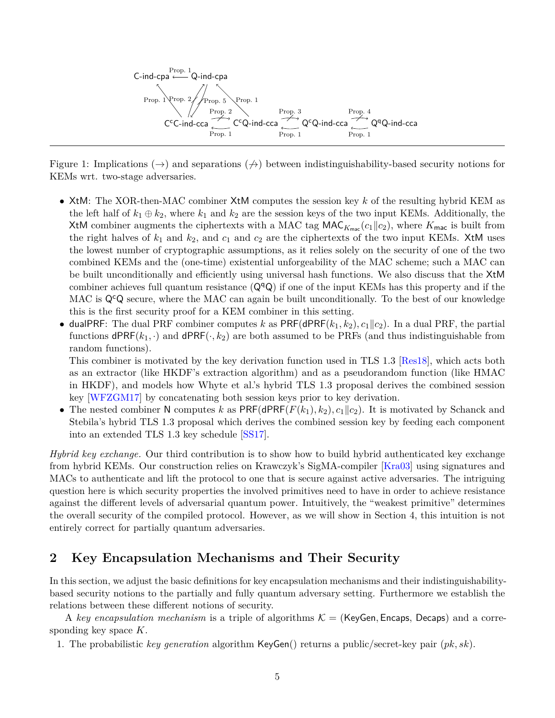

<span id="page-4-1"></span>Figure 1: Implications  $(\rightarrow)$  and separations  $(\nrightarrow)$  between indistinguishability-based security notions for KEMs wrt. two-stage adversaries.

- XtM: The XOR-then-MAC combiner XtM computes the session key *k* of the resulting hybrid KEM as the left half of  $k_1 \oplus k_2$ , where  $k_1$  and  $k_2$  are the session keys of the two input KEMs. Additionally, the XtM combiner augments the ciphertexts with a MAC tag  $MAC_{K_{\text{mac}}}(c_1||c_2)$ , where  $K_{\text{mac}}$  is built from the right halves of  $k_1$  and  $k_2$ , and  $c_1$  and  $c_2$  are the ciphertexts of the two input KEMs. XtM uses the lowest number of cryptographic assumptions, as it relies solely on the security of one of the two combined KEMs and the (one-time) existential unforgeability of the MAC scheme; such a MAC can be built unconditionally and efficiently using universal hash functions. We also discuss that the XtM combiner achieves full quantum resistance  $(Q^qQ)$  if one of the input KEMs has this property and if the MAC is  $\mathsf{Q}^{\mathsf{c}}\mathsf{Q}$  secure, where the MAC can again be built unconditionally. To the best of our knowledge this is the first security proof for a KEM combiner in this setting.
- dualPRF: The dual PRF combiner computes k as  $PRF(dPRF(k_1, k_2), c_1||c_2)$ . In a dual PRF, the partial functions  $\mathsf{dPRF}(k_1, \cdot)$  and  $\mathsf{dPRF}(\cdot, k_2)$  are both assumed to be PRFs (and thus indistinguishable from random functions).

This combiner is motivated by the key derivation function used in TLS 1.3 [\[Res18\]](#page-31-8), which acts both as an extractor (like HKDF's extraction algorithm) and as a pseudorandom function (like HMAC in HKDF), and models how Whyte et al.'s hybrid TLS 1.3 proposal derives the combined session key [\[WFZGM17\]](#page-32-1) by concatenating both session keys prior to key derivation.

• The nested combiner N computes *k* as  $PRF(dPRF(F(k_1), k_2), c_1||c_2)$ . It is motivated by Schanck and Stebila's hybrid TLS 1.3 proposal which derives the combined session key by feeding each component into an extended TLS 1.3 key schedule [\[SS17\]](#page-31-6).

*Hybrid key exchange.* Our third contribution is to show how to build hybrid authenticated key exchange from hybrid KEMs. Our construction relies on Krawczyk's SigMA-compiler [\[Kra03\]](#page-31-9) using signatures and MACs to authenticate and lift the protocol to one that is secure against active adversaries. The intriguing question here is which security properties the involved primitives need to have in order to achieve resistance against the different levels of adversarial quantum power. Intuitively, the "weakest primitive" determines the overall security of the compiled protocol. However, as we will show in Section [4,](#page-19-0) this intuition is not entirely correct for partially quantum adversaries.

## <span id="page-4-0"></span>**2 Key Encapsulation Mechanisms and Their Security**

In this section, we adjust the basic definitions for key encapsulation mechanisms and their indistinguishabilitybased security notions to the partially and fully quantum adversary setting. Furthermore we establish the relations between these different notions of security.

A *key encapsulation mechanism* is a triple of algorithms  $K = (KeyGen, Encaps, Decaps)$  and a corresponding key space *K*.

1. The probabilistic *key generation* algorithm KeyGen() returns a public/secret-key pair (*pk, sk*).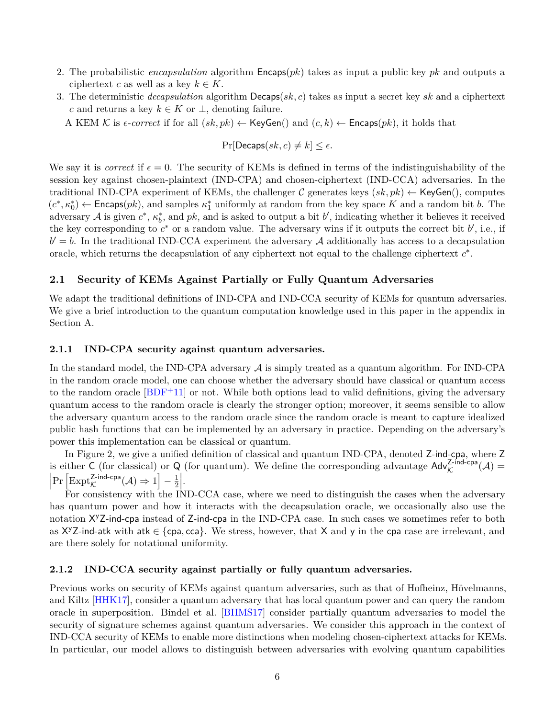- 2. The probabilistic *encapsulation* algorithm Encaps(*pk*) takes as input a public key *pk* and outputs a ciphertext *c* as well as a key  $k \in K$ .
- 3. The deterministic *decapsulation* algorithm Decaps(*sk, c*) takes as input a secret key *sk* and a ciphertext *c* and returns a key  $k \in K$  or  $\perp$ , denoting failure.

A KEM K is  $\epsilon$ -correct if for all  $(sk, pk) \leftarrow \text{KeyGen}()$  and  $(c, k) \leftarrow \text{Encaps}(pk)$ , it holds that

$$
\Pr[\mathsf{Decaps}(sk, c) \neq k] \le \epsilon.
$$

We say it is *correct* if  $\epsilon = 0$ . The security of KEMs is defined in terms of the indistinguishability of the session key against chosen-plaintext (IND-CPA) and chosen-ciphertext (IND-CCA) adversaries. In the traditional IND-CPA experiment of KEMs, the challenger C generates keys  $(s_k, pk) \leftarrow \text{KeyGen}(),$  computes  $(c^*, \kappa_0^*) \leftarrow$  Encaps(*pk*), and samples  $\kappa_1^*$  uniformly at random from the key space *K* and a random bit *b*. The adversary  $A$  is given  $c^*$ ,  $\kappa_b^*$ , and  $pk$ , and is asked to output a bit  $b'$ , indicating whether it believes it received the key corresponding to  $c^*$  or a random value. The adversary wins if it outputs the correct bit  $b'$ , i.e., if  $b' = b$ . In the traditional IND-CCA experiment the adversary A additionally has access to a decapsulation oracle, which returns the decapsulation of any ciphertext not equal to the challenge ciphertext *c* ∗ .

#### <span id="page-5-0"></span>**2.1 Security of KEMs Against Partially or Fully Quantum Adversaries**

We adapt the traditional definitions of IND-CPA and IND-CCA security of KEMs for quantum adversaries. We give a brief introduction to the quantum computation knowledge used in this paper in the appendix in Section [A.](#page-33-0)

#### <span id="page-5-1"></span>**2.1.1 IND-CPA security against quantum adversaries.**

In the standard model, the IND-CPA adversary  $A$  is simply treated as a quantum algorithm. For IND-CPA in the random oracle model, one can choose whether the adversary should have classical or quantum access to the random oracle  $[BDF+11]$  $[BDF+11]$  or not. While both options lead to valid definitions, giving the adversary quantum access to the random oracle is clearly the stronger option; moreover, it seems sensible to allow the adversary quantum access to the random oracle since the random oracle is meant to capture idealized public hash functions that can be implemented by an adversary in practice. Depending on the adversary's power this implementation can be classical or quantum.

In Figure [2,](#page-6-0) we give a unified definition of classical and quantum IND-CPA, denoted Z-ind-cpa, where Z is either C (for classical) or Q (for quantum). We define the corresponding advantage  $\text{Adv}_{\mathcal{K}}^{\text{Z-ind-cpa}}(\mathcal{A})$  =  $\left| \Pr \left[ \text{Expt}_{\mathcal{K}}^{\mathsf{Z-ind-cpa}}(\mathcal{A}) \Rightarrow 1 \right] - \frac{1}{2} \right|$  $\frac{1}{2}$ .

For consistency with the IND-CCA case, where we need to distinguish the cases when the adversary has quantum power and how it interacts with the decapsulation oracle, we occasionally also use the notation X <sup>y</sup>Z-ind-cpa instead of Z-ind-cpa in the IND-CPA case. In such cases we sometimes refer to both as  $X^yZ$ -ind-atk with atk  $\in$  {cpa, cca}. We stress, however, that X and y in the cpa case are irrelevant, and are there solely for notational uniformity.

#### <span id="page-5-2"></span>**2.1.2 IND-CCA security against partially or fully quantum adversaries.**

Previous works on security of KEMs against quantum adversaries, such as that of Hofheinz, Hövelmanns, and Kiltz [\[HHK17\]](#page-30-8), consider a quantum adversary that has local quantum power and can query the random oracle in superposition. Bindel et al. [\[BHMS17\]](#page-29-0) consider partially quantum adversaries to model the security of signature schemes against quantum adversaries. We consider this approach in the context of IND-CCA security of KEMs to enable more distinctions when modeling chosen-ciphertext attacks for KEMs. In particular, our model allows to distinguish between adversaries with evolving quantum capabilities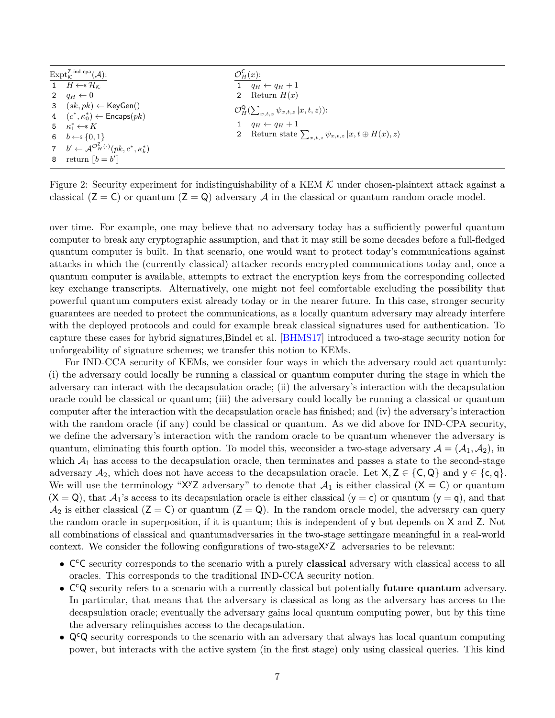| $\mathrm{Expt}_{\kappa}^{\mathsf{Z-ind-cpa}}(\mathcal{A})$ :                            |              | $\mathcal{O}_H^{\mathsf{C}}(x)$ :                                        |
|-----------------------------------------------------------------------------------------|--------------|--------------------------------------------------------------------------|
| 1 $H \leftarrow^* \mathcal{H}_K$                                                        |              | 1 $q_H \leftarrow q_H + 1$                                               |
| 2 $q_H \leftarrow 0$                                                                    | $\mathbf{2}$ | Return $H(x)$                                                            |
| 3 $(sk, pk) \leftarrow \text{KeyGen}()$                                                 |              | $\mathcal{O}_H^{\mathsf{Q}}(\sum_{x,t,z}\psi_{x,t,z}\vert x,t,z)\big)$ : |
| 4 $(c^*, \kappa_0^*) \leftarrow$ Encaps $(pk)$                                          |              |                                                                          |
| 5 $\kappa_1^* \leftarrow \in K$                                                         |              | 1 $q_H \leftarrow q_H + 1$                                               |
| 6 $b \leftarrow s \{0, 1\}$                                                             |              | 2 Return state $\sum_{x,t,z} \psi_{x,t,z}  x,t \oplus H(x),z\rangle$     |
| 7 $b' \leftarrow \mathcal{A}^{\mathcal{O}_H^{\mathcal{I}}}(\cdot)(pk, c^*, \kappa_h^*)$ |              |                                                                          |
| 8 return $\llbracket b = b' \rrbracket$                                                 |              |                                                                          |

<span id="page-6-0"></span>Figure 2: Security experiment for indistinguishability of a KEM  $K$  under chosen-plaintext attack against a classical  $(Z = C)$  or quantum  $(Z = Q)$  adversary A in the classical or quantum random oracle model.

over time. For example, one may believe that no adversary today has a sufficiently powerful quantum computer to break any cryptographic assumption, and that it may still be some decades before a full-fledged quantum computer is built. In that scenario, one would want to protect today's communications against attacks in which the (currently classical) attacker records encrypted communications today and, once a quantum computer is available, attempts to extract the encryption keys from the corresponding collected key exchange transcripts. Alternatively, one might not feel comfortable excluding the possibility that powerful quantum computers exist already today or in the nearer future. In this case, stronger security guarantees are needed to protect the communications, as a locally quantum adversary may already interfere with the deployed protocols and could for example break classical signatures used for authentication. To capture these cases for hybrid signatures,Bindel et al. [\[BHMS17\]](#page-29-0) introduced a two-stage security notion for unforgeability of signature schemes; we transfer this notion to KEMs.

For IND-CCA security of KEMs, we consider four ways in which the adversary could act quantumly: (i) the adversary could locally be running a classical or quantum computer during the stage in which the adversary can interact with the decapsulation oracle; (ii) the adversary's interaction with the decapsulation oracle could be classical or quantum; (iii) the adversary could locally be running a classical or quantum computer after the interaction with the decapsulation oracle has finished; and (iv) the adversary's interaction with the random oracle (if any) could be classical or quantum. As we did above for IND-CPA security, we define the adversary's interaction with the random oracle to be quantum whenever the adversary is quantum, eliminating this fourth option. To model this, we consider a two-stage adversary  $A = (A_1, A_2)$ , in which  $A_1$  has access to the decapsulation oracle, then terminates and passes a state to the second-stage adversary  $A_2$ , which does not have access to the decapsulation oracle. Let  $X, Z \in \{C, Q\}$  and  $y \in \{c, q\}$ . We will use the terminology " $X^yZ$  adversary" to denote that  $\mathcal{A}_1$  is either classical  $(X = C)$  or quantum  $(X = Q)$ , that  $\mathcal{A}_1$ 's access to its decapsulation oracle is either classical  $(y = c)$  or quantum  $(y = q)$ , and that  $\mathcal{A}_2$  is either classical ( $Z = C$ ) or quantum ( $Z = Q$ ). In the random oracle model, the adversary can query the random oracle in superposition, if it is quantum; this is independent of y but depends on X and Z. Not all combinations of classical and quantumadversaries in the two-stage settingare meaningful in a real-world context. We consider the following configurations of two-stage X<sup>y</sup>Z adversaries to be relevant:

- C <sup>c</sup>C security corresponds to the scenario with a purely **classical** adversary with classical access to all oracles. This corresponds to the traditional IND-CCA security notion.
- C <sup>c</sup>Q security refers to a scenario with a currently classical but potentially **future quantum** adversary. In particular, that means that the adversary is classical as long as the adversary has access to the decapsulation oracle; eventually the adversary gains local quantum computing power, but by this time the adversary relinquishes access to the decapsulation.
- $\mathsf{Q}^{\mathsf{c}}\mathsf{Q}$  security corresponds to the scenario with an adversary that always has local quantum computing power, but interacts with the active system (in the first stage) only using classical queries. This kind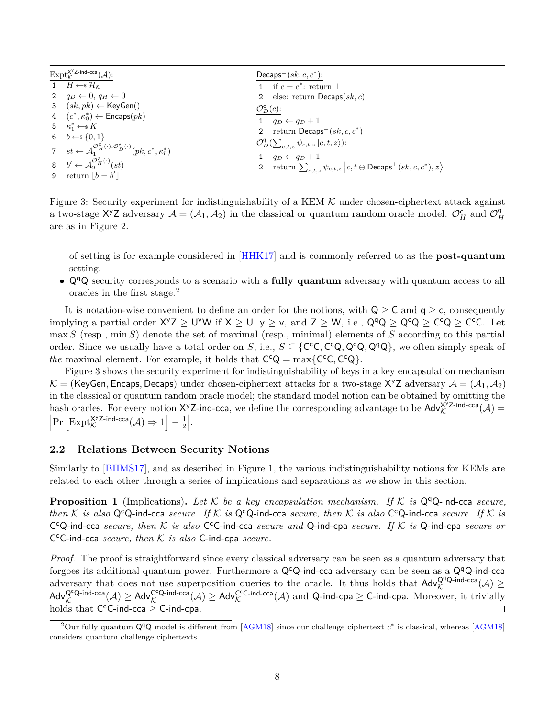| $\mathrm{Expt}_{\mathcal{K}}^{\mathsf{X}^{\mathsf{y}} \mathsf{Z}\text{-}\mathsf{ind}\text{-}\mathsf{cca}}(\mathcal{A})$ : | Decaps <sup><math>\pm</math></sup> $(sk, c, c^*$ :                                                |
|---------------------------------------------------------------------------------------------------------------------------|---------------------------------------------------------------------------------------------------|
| 1 $H \leftarrow^* \mathcal{H}_K$                                                                                          | 1 if $c = c^*$ : return $\perp$                                                                   |
| 2 $q_D \leftarrow 0, q_H \leftarrow 0$                                                                                    | else: return Decaps $(sk, c)$                                                                     |
| 3 $(sk, pk) \leftarrow \text{KeyGen}()$                                                                                   | $\mathcal{O}_D^{\mathsf{c}}(c)$ :                                                                 |
| 4 $(c^*, \kappa_0^*) \leftarrow$ Encaps $(pk)$                                                                            | $q_D \leftarrow q_D + 1$                                                                          |
| 5 $\kappa_1^* \leftarrow \s K$                                                                                            | 2 return Decaps <sup><math>\perp</math></sup> $(sk, c, c^*)$                                      |
| 6 $b \leftarrow s \{0, 1\}$                                                                                               |                                                                                                   |
| 7 $st \leftarrow \mathcal{A}_1^{\mathcal{O}_H^{\chi}(\cdot),\mathcal{O}_D^{\chi}(\cdot)}(pk,c^*,\kappa_b^*)$              | $\mathcal{O}_D^{\mathsf{q}}(\sum_{c,t,z}\psi_{c,t,z} c,t,z)$ :<br>$q_D \leftarrow q_D + 1$        |
| 8 $b' \leftarrow \mathcal{A}^{\mathcal{O}_H^{\mathbb{Z}}(\cdot)}(st)$                                                     | 2 return $\sum_{c,t,z} \psi_{c,t,z}   c, t \oplus \mathsf{Decaps}^{\perp}(sk, c, c^*), z \rangle$ |
| 9 return $\llbracket b = b' \rrbracket$                                                                                   |                                                                                                   |

<span id="page-7-3"></span>Figure 3: Security experiment for indistinguishability of a KEM  $K$  under chosen-ciphertext attack against a two-stage X<sup>y</sup>Z adversary  $A = (A_1, A_2)$  in the classical or quantum random oracle model.  $\mathcal{O}_H^{\mathsf{c}}$  and  $\mathcal{O}_L^{\mathsf{d}}$ *H* are as in Figure [2.](#page-6-0)

of setting is for example considered in [\[HHK17\]](#page-30-8) and is commonly referred to as the **post-quantum** setting.

•  $Q^qQ$  security corresponds to a scenario with a **fully quantum** adversary with quantum access to all oracles in the first stage.[2](#page-7-2)

It is notation-wise convenient to define an order for the notions, with  $Q \geq C$  and  $q \geq c$ , consequently implying a partial order  $X^yZ \geq U^yW$  if  $X \geq U$ ,  $y \geq v$ , and  $Z \geq W$ , i.e.,  $Q^qQ \geq Q^cQ \geq C^cQ \geq C^cC$ . Let max *S* (resp., min *S*) denote the set of maximal (resp., minimal) elements of *S* according to this partial order. Since we usually have a total order on *S*, i.e.,  $S \subseteq \{C^cC, C^cQ, Q^cQ, Q^qQ\}$ , we often simply speak of *the* maximal element. For example, it holds that  $C^cQ = \max\{C^cC, C^cQ\}.$ 

Figure [3](#page-7-3) shows the security experiment for indistinguishability of keys in a key encapsulation mechanism  $K =$  (KeyGen, Encaps, Decaps) under chosen-ciphertext attacks for a two-stage X<sup>y</sup>Z adversary  $\mathcal{A} = (\mathcal{A}_1, \mathcal{A}_2)$ in the classical or quantum random oracle model; the standard model notion can be obtained by omitting the hash oracles. For every notion  $X^yZ$ -ind-cca, we define the corresponding advantage to be  $\text{Adv}_{\mathcal{K}}^{X^yZ\text{-}\text{ind-cca}}(\mathcal{A})$  $\left| \Pr \left[ \text{Expt}_{\mathcal{K}}^{\mathsf{X} \text{YZ-ind-cca}}(\mathcal{A}) \Rightarrow 1 \right] - \frac{1}{2}$  $\frac{1}{2}$ .

#### <span id="page-7-0"></span>**2.2 Relations Between Security Notions**

Similarly to [\[BHMS17\]](#page-29-0), and as described in Figure [1,](#page-4-1) the various indistinguishability notions for KEMs are related to each other through a series of implications and separations as we show in this section.

<span id="page-7-1"></span>**Proposition 1** (Implications). Let K be a key encapsulation mechanism. If K is  $Q^qQ$ -ind-cca *secure*, *then*  $K$  *is also* Q<sup>c</sup>Q-ind-cca *secure. If*  $K$  *is* Q<sup>c</sup>Q-ind-cca *secure, then*  $K$  *is also* C<sup>c</sup>Q-ind-cca *secure. If*  $K$  *is* C<sup>c</sup>Q-ind-cca *secure, then*  $K$  *is also* C<sup>c</sup>C-ind-cca *secure and* Q-ind-cpa *secure. If*  $K$  *is* Q-ind-cpa *secure or* C <sup>c</sup>C-ind-cca *secure, then* K *is also* C-ind-cpa *secure.*

*Proof.* The proof is straightforward since every classical adversary can be seen as a quantum adversary that forgoes its additional quantum power. Furthermore a Q<sup>c</sup>Q-ind-cca adversary can be seen as a Q<sup>q</sup>Q-ind-cca adversary that does not use superposition queries to the oracle. It thus holds that  $\mathsf{Adv}_{\mathcal{K}}^{\mathsf{Q}\mathsf{q}\mathsf{Q}\text{-}\mathsf{ind}\text{-}\mathsf{cca}}(\mathcal{A}) \geq$  $\mathsf{Adv}_{\mathcal{K}}^{\mathsf{Q}\textrm{-}\mathsf{ind}\textrm{-}\mathsf{cca}}(\mathcal{A})\geq \mathsf{Adv}_{\mathcal{K}}^{\mathsf{CC}\textrm{-}\mathsf{ind}\textrm{-}\mathsf{cca}}(\mathcal{A})\text{ and }\mathsf{Q}\textrm{-}\mathsf{ind}\textrm{-}\mathsf{cpa}\geq \mathsf{C}\textrm{-}\mathsf{ind}\textrm{-}\mathsf{cpa}. \text{ Moreover, it trivially}$ holds that  $C^cC$ -ind-cca  $\geq$  C-ind-cpa.  $\Box$ 

<span id="page-7-2"></span><sup>&</sup>lt;sup>2</sup>Our fully quantum  $Q^qQ$  model is different from [\[AGM18\]](#page-28-4) since our challenge ciphertext  $c^*$  is classical, whereas [AGM18] considers quantum challenge ciphertexts.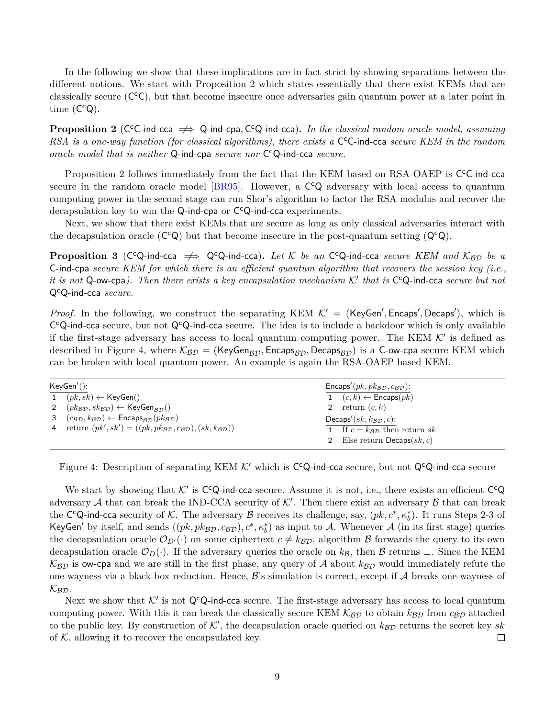In the following we show that these implications are in fact strict by showing separations between the different notions. We start with Proposition [2](#page-8-0) which states essentially that there exist KEMs that are classically secure (C<sup>c</sup>C), but that become insecure once adversaries gain quantum power at a later point in time  $(C^cQ)$ .

<span id="page-8-0"></span>**Proposition 2** (C<sup>c</sup>C-ind-cca  $\implies$  Q-ind-cpa, C<sup>c</sup>Q-ind-cca). In the classical random oracle model, assuming RSA is a one-way function (for classical algorithms), there exists a C<sup>c</sup>C-ind-cca secure KEM in the random *oracle model that is neither* Q-ind-cpa *secure nor* C <sup>c</sup>Q-ind-cca *secure.*

Proposition [2](#page-8-0) follows immediately from the fact that the KEM based on RSA-OAEP is CC-ind-cca secure in the random oracle model [\[BR95\]](#page-29-8). However, a C<sup>c</sup>Q adversary with local access to quantum computing power in the second stage can run Shor's algorithm to factor the RSA modulus and recover the decapsulation key to win the Q-ind-cpa or C<sup>c</sup>Q-ind-cca experiments.

Next, we show that there exist KEMs that are secure as long as only classical adversaries interact with the decapsulation oracle  $(C^cQ)$  but that become insecure in the post-quantum setting  $(Q^cQ)$ .

<span id="page-8-1"></span>**Proposition 3** (C<sup>c</sup>Q-ind-cca  $\Rightarrow$  Q<sup>c</sup>Q-ind-cca). Let K be an C<sup>c</sup>Q-ind-cca *secure KEM and* K<sub>BD</sub> be a C-ind-cpa *secure KEM for which there is an efficient quantum algorithm that recovers the session key (i.e.,* it is not  $Q$ -ow-cpa). Then there exists a key encapsulation mechanism  $K'$  that is  $C^cQ$ -ind-cca *secure but not* QcQ-ind-cca *secure.*

*Proof.* In the following, we construct the separating KEM  $K' =$  (KeyGen', Encaps', Decaps'), which is C<sup>c</sup>Q-ind-cca secure, but not Q<sup>c</sup>Q-ind-cca secure. The idea is to include a backdoor which is only available if the first-stage adversary has access to local quantum computing power. The KEM  $K'$  is defined as described in Figure [4,](#page-8-2) where  $\mathcal{K}_{BD} =$  (KeyGen<sub>BD</sub>, Encaps<sub>BD</sub>, Decaps<sub>BD</sub>) is a C-ow-cpa secure KEM which can be broken with local quantum power. An example is again the RSA-OAEP based KEM.

| KeyGen'(): |                                                                                                 | Encaps'( $pk, pk$ $p, c$ $g$ $p$ ):        |
|------------|-------------------------------------------------------------------------------------------------|--------------------------------------------|
|            | 1 $(pk, sk) \leftarrow \mathsf{KeyGen}()$                                                       | 1 $(c, k) \leftarrow$ Encaps $(pk)$        |
|            | 2 $(pk_{BD}, sk_{BD}) \leftarrow \text{KeyGen}_{BD}()$                                          | 2 return $(c, k)$                          |
|            | 3 $(c_{\mathcal{BD}}, k_{\mathcal{BD}}) \leftarrow$ Encaps $_{\mathcal{BD}}(pk_{\mathcal{BD}})$ | Decaps' $(sk, k_{\mathcal{BD}}, c)$ :      |
|            | 4 return $(pk', sk') = ((pk, pk_{BD}, c_{BD}), (sk, k_{BD}))$                                   | 1 If $c = k_{\mathcal{BD}}$ then return sk |
|            |                                                                                                 | 2 Else return Decaps $(sk, c)$             |

<span id="page-8-2"></span>Figure 4: Description of separating KEM  $K'$  which is C<sup>c</sup>Q-ind-cca secure, but not Q<sup>c</sup>Q-ind-cca secure

We start by showing that  $K'$  is C<sup>c</sup>Q-ind-cca secure. Assume it is not, i.e., there exists an efficient C<sup>c</sup>Q adversary A that can break the IND-CCA security of  $K'$ . Then there exist an adversary  $\beta$  that can break the C<sup>c</sup>Q-ind-cca security of K. The adversary B receives its challenge, say, (*pk*, *c*<sup>∗</sup>, *κ*<sup>∗</sup><sub>*b*</sub>). It runs Steps 2-3 of KeyGen' by itself, and sends  $((pk, pk_{BD}, c_{BD}), c^*, \kappa_b^*)$  as input to A. Whenever A (in its first stage) queries the decapsulation oracle  $\mathcal{O}_{D'}(\cdot)$  on some ciphertext  $c \neq k_{\beta D}$ , algorithm B forwards the query to its own decapsulation oracle  $\mathcal{O}_D(\cdot)$ . If the adversary queries the oracle on  $k_{\mathcal{B}}$ , then B returns ⊥. Since the KEM  $K_{BD}$  is ow-cpa and we are still in the first phase, any query of A about  $k_{BD}$  would immediately refute the one-wayness via a black-box reduction. Hence,  $\mathcal{B}$ 's simulation is correct, except if  $\mathcal{A}$  breaks one-wayness of  $\mathcal{K_{BD}}$ .

Next we show that  $K'$  is not Q<sup>c</sup>Q-ind-cca secure. The first-stage adversary has access to local quantum computing power. With this it can break the classically secure KEM  $K_{\beta D}$  to obtain  $k_{\beta D}$  from  $c_{\beta D}$  attached to the public key. By construction of  $K'$ , the decapsulation oracle queried on  $k_{\mathcal{BD}}$  returns the secret key  $sk$ of  $K$ , allowing it to recover the encapsulated key.  $\Box$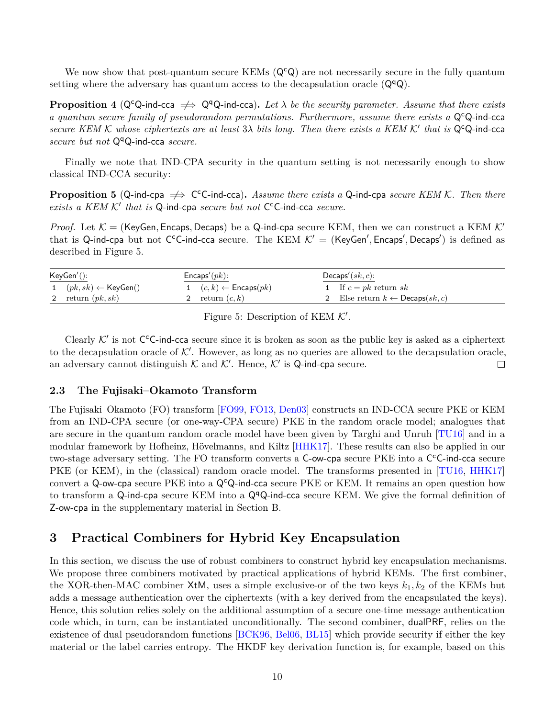We now show that post-quantum secure KEMs  $(Q<sup>c</sup>Q)$  are not necessarily secure in the fully quantum setting where the adversary has quantum access to the decapsulation oracle  $(Q<sup>q</sup>Q)$ .

<span id="page-9-3"></span>**Proposition 4** ( $Q^cQ$ -ind-cca  $\implies Q^qQ$ -ind-cca). Let  $\lambda$  be the security parameter. Assume that there exists *a quantum secure family of pseudorandom permutations. Furthermore, assume there exists a* QcQ-ind-cca *secure KEM K whose ciphertexts are at least* 3λ *bits long. Then there exists a KEM K' that is* Q<sup>c</sup>Q-ind-cca *secure but not*  $Q^qQ$ -ind-cca *secure*.

Finally we note that IND-CPA security in the quantum setting is not necessarily enough to show classical IND-CCA security:

<span id="page-9-2"></span>**Proposition 5** (Q-ind-cpa  $\Rightarrow$  C<sup>c</sup>C-ind-cca). Assume there exists a Q-ind-cpa secure KEM K. Then there exists a KEM K' that is Q-ind-cpa *secure but not* C<sup>c</sup>C-ind-cca *secure*.

*Proof.* Let  $\mathcal{K} =$  (KeyGen, Encaps, Decaps) be a Q-ind-cpa secure KEM, then we can construct a KEM  $\mathcal{K}'$ that is Q-ind-cpa but not C<sup>c</sup>C-ind-cca secure. The KEM  $K' =$  (KeyGen', Encaps', Decaps') is defined as described in Figure [5.](#page-9-4)

| KeyGen'(): |                                         | $Encaps'(pk)$ :                     | Decaps' $(sk, c)$ :                        |  |
|------------|-----------------------------------------|-------------------------------------|--------------------------------------------|--|
|            | 1 $(pk, sk) \leftarrow \text{KeyGen}()$ | 1 $(c, k) \leftarrow$ Encaps $(pk)$ | 1 If $c = pk$ return sk                    |  |
|            | 2 return $(pk, sk)$                     | 2 return $(c, k)$                   | 2 Else return $k \leftarrow$ Decaps(sk, c) |  |

<span id="page-9-4"></span>Figure 5: Description of KEM  $K'$ .

Clearly  $K'$  is not C<sup>c</sup>C-ind-cca secure since it is broken as soon as the public key is asked as a ciphertext to the decapsulation oracle of  $K'$ . However, as long as no queries are allowed to the decapsulation oracle, an adversary cannot distinguish  $K$  and  $K'$ . Hence,  $K'$  is Q-ind-cpa secure.  $\Box$ 

#### <span id="page-9-0"></span>**2.3 The Fujisaki–Okamoto Transform**

The Fujisaki–Okamoto (FO) transform [\[FO99,](#page-30-9) [FO13,](#page-30-10) [Den03\]](#page-29-9) constructs an IND-CCA secure PKE or KEM from an IND-CPA secure (or one-way-CPA secure) PKE in the random oracle model; analogues that are secure in the quantum random oracle model have been given by Targhi and Unruh [\[TU16\]](#page-32-3) and in a modular framework by Hofheinz, Hövelmanns, and Kiltz [\[HHK17\]](#page-30-8). These results can also be applied in our two-stage adversary setting. The FO transform converts a C-ow-cpa secure PKE into a C<sup>c</sup>C-ind-cca secure PKE (or KEM), in the (classical) random oracle model. The transforms presented in [\[TU16,](#page-32-3) [HHK17\]](#page-30-8) convert a Q-ow-cpa secure PKE into a  $Q^cQ$ -ind-cca secure PKE or KEM. It remains an open question how to transform a Q-ind-cpa secure KEM into a  $\mathsf{Q}^{\mathsf{q}}\mathsf{Q}$ -ind-cca secure KEM. We give the formal definition of Z-ow-cpa in the supplementary material in Section [B.](#page-33-1)

## <span id="page-9-1"></span>**3 Practical Combiners for Hybrid Key Encapsulation**

In this section, we discuss the use of robust combiners to construct hybrid key encapsulation mechanisms. We propose three combiners motivated by practical applications of hybrid KEMs. The first combiner, the XOR-then-MAC combiner XtM, uses a simple exclusive-or of the two keys *k*1*, k*<sup>2</sup> of the KEMs but adds a message authentication over the ciphertexts (with a key derived from the encapsulated the keys). Hence, this solution relies solely on the additional assumption of a secure one-time message authentication code which, in turn, can be instantiated unconditionally. The second combiner, dualPRF, relies on the existence of dual pseudorandom functions [\[BCK96,](#page-28-5) [Bel06,](#page-28-6) [BL15\]](#page-29-10) which provide security if either the key material or the label carries entropy. The HKDF key derivation function is, for example, based on this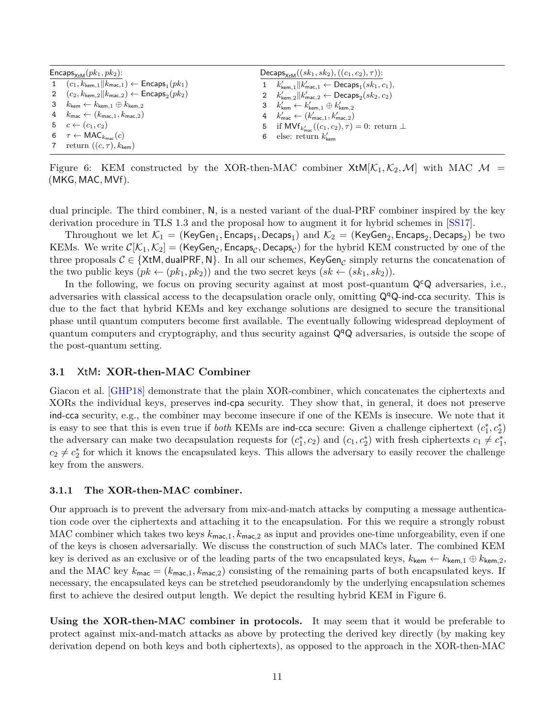| $\mathsf{Encaps}_{\mathsf{X} \text{+M}}(pk_1, pk_2)$ : |                                                                                         | Decaps <sub>x+M</sub> $((sk_1, sk_2), ((c_1, c_2), \tau))$ : |                                                                                    |  |
|--------------------------------------------------------|-----------------------------------------------------------------------------------------|--------------------------------------------------------------|------------------------------------------------------------------------------------|--|
|                                                        | 1 $(c_1, k_{\text{kem},1}    k_{\text{mac},1}) \leftarrow$ Encaps <sub>1</sub> $(pk_1)$ |                                                              | 1 $k'_{\text{kem},1}    k'_{\text{mac},1} \leftarrow \text{Decaps}_1(s k_1, c_1),$ |  |
|                                                        | 2 $(c_2, k_{\text{kem},2}    k_{\text{mac},2}) \leftarrow$ Encaps <sub>2</sub> $(pk_2)$ |                                                              | 2 $k'_{\text{kem},2}    k'_{\text{mac},2} \leftarrow \text{Decaps}_2(sk_2, c_2)$   |  |
|                                                        | 3 $k_{\mathsf{kem}} \leftarrow k_{\mathsf{kem},1} \oplus k_{\mathsf{kem},2}$            |                                                              | 3 $k'_{\text{kem}} \leftarrow k'_{\text{kem.1}} \oplus k'_{\text{kem.2}}$          |  |
|                                                        | 4 $k_{\text{mac}} \leftarrow (k_{\text{mac},1}, k_{\text{mac},2})$                      |                                                              | 4 $k'_{\text{mac}} \leftarrow (k'_{\text{mac},1}, k'_{\text{mac},2})$              |  |
|                                                        | 5 $c \leftarrow (c_1, c_2)$                                                             |                                                              | 5 if $\mathsf{MVf}_{k'_{\sf max}}((c_1,c_2),\tau)=0$ : return $\perp$              |  |
|                                                        | 6 $\tau \leftarrow \text{MAC}_{k_{\text{mac}}}(c)$                                      |                                                              | 6 else: return $k'_{\text{term}}$                                                  |  |
|                                                        | 7 return $((c, \tau), k_{\text{kem}})$                                                  |                                                              |                                                                                    |  |

<span id="page-10-2"></span>Figure 6: KEM constructed by the XOR-then-MAC combiner  $XtM[K_1, K_2, M]$  with MAC  $M =$ (MKG*,* MAC*,* MVf).

dual principle. The third combiner, N, is a nested variant of the dual-PRF combiner inspired by the key derivation procedure in TLS 1.3 and the proposal how to augment it for hybrid schemes in [\[SS17\]](#page-31-6).

 $\text{Throughout we let } \mathcal{K}_1 = (\mathsf{KeyGen}_1, \mathsf{Encaps}_1, \mathsf{Decaps}_1) \text{ and } \mathcal{K}_2 = (\mathsf{KeyGen}_2, \mathsf{Encaps}_2, \mathsf{Decaps}_2) \text{ be two}$ KEMs. We write  $C[\mathcal{K}_1,\mathcal{K}_2]=(\mathsf{KeyGen}_\mathcal{C},\mathsf{Encaps}_\mathcal{C},\mathsf{Decaps}_\mathcal{C})$  for the hybrid KEM constructed by one of the three proposals  $C \in \{\textsf{XtM}, \textsf{dualPRF}, \textsf{N}\}$ . In all our schemes,  $\mathsf{KeyGen}_\mathcal{C}$  simply returns the concatenation of the two public keys  $(pk \leftarrow (pk_1, pk_2)$  and the two secret keys  $(sk \leftarrow (sk_1, sk_2)$ .

In the following, we focus on proving security against at most post-quantum  $\mathsf{Q}^{\mathsf{c}}\mathsf{Q}$  adversaries, i.e., adversaries with classical access to the decapsulation oracle only, omitting  $Q^qQ$ -ind-cca security. This is due to the fact that hybrid KEMs and key exchange solutions are designed to secure the transitional phase until quantum computers become first available. The eventually following widespread deployment of quantum computers and cryptography, and thus security against  $Q<sup>q</sup>Q$  adversaries, is outside the scope of the post-quantum setting.

#### <span id="page-10-0"></span>**3.1** XtM**: XOR-then-MAC Combiner**

Giacon et al. [\[GHP18\]](#page-30-3) demonstrate that the plain XOR-combiner, which concatenates the ciphertexts and XORs the individual keys, preserves ind-cpa security. They show that, in general, it does not preserve ind-cca security, e.g., the combiner may become insecure if one of the KEMs is insecure. We note that it is easy to see that this is even true if *both* KEMs are ind-cca secure: Given a challenge ciphertext  $(c_1^*, c_2^*)$ the adversary can make two decapsulation requests for  $(c_1^*, c_2)$  and  $(c_1, c_2^*)$  with fresh ciphertexts  $c_1 \neq c_1^*$ ,  $c_2 \neq c_2^*$  for which it knows the encapsulated keys. This allows the adversary to easily recover the challenge key from the answers.

#### <span id="page-10-1"></span>**3.1.1 The XOR-then-MAC combiner.**

Our approach is to prevent the adversary from mix-and-match attacks by computing a message authentication code over the ciphertexts and attaching it to the encapsulation. For this we require a strongly robust MAC combiner which takes two keys *k*mac*,*1*, k*mac*,*<sup>2</sup> as input and provides one-time unforgeability, even if one of the keys is chosen adversarially. We discuss the construction of such MACs later. The combined KEM key is derived as an exclusive or of the leading parts of the two encapsulated keys,  $k_{\text{kem}} \leftarrow k_{\text{kem},1} \oplus k_{\text{kem},2}$ , and the MAC key  $k_{\text{mac}} = (k_{\text{mac},1}, k_{\text{mac},2})$  consisting of the remaining parts of both encapsulated keys. If necessary, the encapsulated keys can be stretched pseudorandomly by the underlying encapsulation schemes first to achieve the desired output length. We depict the resulting hybrid KEM in Figure [6.](#page-10-2)

**Using the XOR-then-MAC combiner in protocols.** It may seem that it would be preferable to protect against mix-and-match attacks as above by protecting the derived key directly (by making key derivation depend on both keys and both ciphertexts), as opposed to the approach in the XOR-then-MAC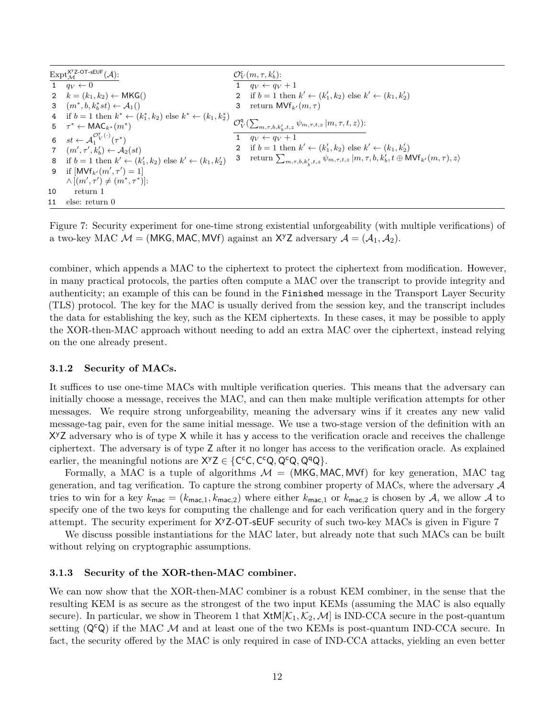|    | $\mathrm{Expt}^{\mathsf{X}^{\mathsf{y}} \mathsf{Z}\text{-}\mathsf{OT}\text{-}\mathsf{sEUE}}_{\mathcal{M}}(\mathcal{A})$ : |   | $\mathcal{O}_V^{\mathsf{c}}(m, \tau, k'_b)$ :                                                                          |
|----|---------------------------------------------------------------------------------------------------------------------------|---|------------------------------------------------------------------------------------------------------------------------|
|    | $1 \quad q_V \leftarrow 0$                                                                                                |   | 1 $q_V \leftarrow q_V + 1$                                                                                             |
|    | 2 $k = (k_1, k_2) \leftarrow \mathsf{MKG}()$                                                                              |   | 2 if $b = 1$ then $k' \leftarrow (k'_1, k_2)$ else $k' \leftarrow (k_1, k'_2)$                                         |
|    | 3 $(m^*,b,k_h^*st) \leftarrow \mathcal{A}_1()$                                                                            | 3 | return $\mathsf{MVf}_{k'}(m,\tau)$                                                                                     |
|    | 4 if $b = 1$ then $k^* \leftarrow (k_1^*, k_2)$ else $k^* \leftarrow (k_1, k_2^*)$                                        |   |                                                                                                                        |
|    | 5 $\tau^* \leftarrow \text{MAC}_{k^*}(m^*)$                                                                               |   | $\mathcal{O}_V^{\mathsf{q}}\left(\sum_{m,\tau,b,k'_b,t,z}\psi_{m,\tau,t,z}\left m,\tau,t,z\right>\right)$ :            |
|    | 6 $st \leftarrow \mathcal{A}_{1}^{\mathcal{O}_{V}^{y}(\cdot)}(\tau^{*})$                                                  |   | 1 $q_V \leftarrow q_V + 1$                                                                                             |
|    | 7 $(m', \tau', k'_b) \leftarrow \mathcal{A}_2(st)$                                                                        |   | 2 if $b = 1$ then $k' \leftarrow (k'_1, k_2)$ else $k' \leftarrow (k_1, k'_2)$                                         |
|    | 8 if $b = 1$ then $k' \leftarrow (k'_1, k_2)$ else $k' \leftarrow (k_1, k'_2)$                                            |   | 3 return $\sum_{m,\tau,b,k_\star',t,z} \psi_{m,\tau,t,z}   m,\tau,b,k_b',t \oplus \textsf{MVf}_{k'}(m,\tau),z \rangle$ |
|    | 9 if $[MVf_{k'}(m', \tau') = 1]$                                                                                          |   |                                                                                                                        |
|    | $\wedge$ $[(m', \tau') \neq (m^*, \tau^*)]$ :                                                                             |   |                                                                                                                        |
| 10 | return 1                                                                                                                  |   |                                                                                                                        |
| 11 | else: return 0                                                                                                            |   |                                                                                                                        |

<span id="page-11-2"></span>Figure 7: Security experiment for one-time strong existential unforgeability (with multiple verifications) of a two-key MAC  $M = (MKG, MAC, MVf)$  against an X<sup>y</sup>Z adversary  $A = (A_1, A_2)$ .

combiner, which appends a MAC to the ciphertext to protect the ciphertext from modification. However, in many practical protocols, the parties often compute a MAC over the transcript to provide integrity and authenticity; an example of this can be found in the Finished message in the Transport Layer Security (TLS) protocol. The key for the MAC is usually derived from the session key, and the transcript includes the data for establishing the key, such as the KEM ciphertexts. In these cases, it may be possible to apply the XOR-then-MAC approach without needing to add an extra MAC over the ciphertext, instead relying on the one already present.

#### <span id="page-11-0"></span>**3.1.2 Security of MACs.**

It suffices to use one-time MACs with multiple verification queries. This means that the adversary can initially choose a message, receives the MAC, and can then make multiple verification attempts for other messages. We require strong unforgeability, meaning the adversary wins if it creates any new valid message-tag pair, even for the same initial message. We use a two-stage version of the definition with an X<sup>y</sup>Z adversary who is of type X while it has y access to the verification oracle and receives the challenge ciphertext. The adversary is of type Z after it no longer has access to the verification oracle. As explained earlier, the meaningful notions are  $X^yZ \in \{C^cC, C^cQ, Q^cQ, Q^qQ\}.$ 

Formally, a MAC is a tuple of algorithms  $\mathcal{M} = (MKG, MAC, MYf)$  for key generation, MAC tag generation, and tag verification. To capture the strong combiner property of MACs, where the adversary  $\mathcal A$ tries to win for a key  $k_{\text{mac}} = (k_{\text{mac},1}, k_{\text{mac},2})$  where either  $k_{\text{mac},1}$  or  $k_{\text{mac},2}$  is chosen by A, we allow A to specify one of the two keys for computing the challenge and for each verification query and in the forgery attempt. The security experiment for  $X^{\gamma}Z$ -OT-sEUF security of such two-key MACs is given in Figure [7](#page-11-2)

We discuss possible instantiations for the MAC later, but already note that such MACs can be built without relying on cryptographic assumptions.

#### <span id="page-11-1"></span>**3.1.3 Security of the XOR-then-MAC combiner.**

We can now show that the XOR-then-MAC combiner is a robust KEM combiner, in the sense that the resulting KEM is as secure as the strongest of the two input KEMs (assuming the MAC is also equally secure). In particular, we show in Theorem [1](#page-12-0) that  $XtM[\mathcal{K}_1,\mathcal{K}_2,\mathcal{M}]$  is IND-CCA secure in the post-quantum setting  $(Q^cQ)$  if the MAC M and at least one of the two KEMs is post-quantum IND-CCA secure. In fact, the security offered by the MAC is only required in case of IND-CCA attacks, yielding an even better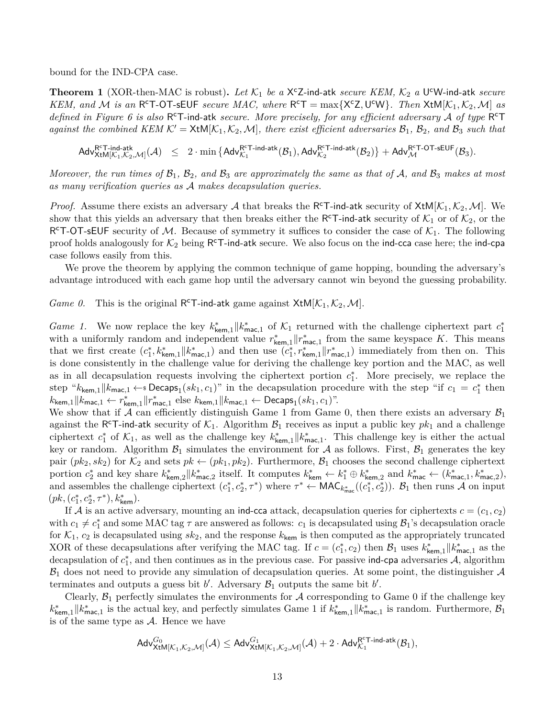bound for the IND-CPA case.

<span id="page-12-0"></span>**Theorem 1** (XOR-then-MAC is robust). Let  $K_1$  be a X<sup>c</sup>Z-ind-atk *secure KEM*,  $K_2$  a U<sup>c</sup>W-ind-atk *secure KEM, and M is an*  $R^cT$ -OT-sEUF *secure MAC, where*  $R^cT = \max\{X^cZ, U^cW\}$ *. Then*  $XtM[K_1, K_2, M]$  *as* defined in Figure [6](#page-10-2) is also R<sup>c</sup>T-ind-atk secure. More precisely, for any efficient adversary A of type R<sup>c</sup>T *against the combined KEM*  $K' = \text{xtM}[K_1, K_2, \mathcal{M}]$ *, there exist efficient adversaries*  $\mathcal{B}_1$ *,*  $\mathcal{B}_2$ *, and*  $\mathcal{B}_3$  *such that* 

 $\mathsf{Adv}_{\mathsf{XtM}[\mathcal{K}_1,\mathcal{K}_2]}^{\mathsf{RT}\text{-}\mathsf{ind}\text{-}\mathsf{atk}}$  $\Pr^{\mathsf{RT}\text{-}\mathsf{ind}\text{-}\mathsf{atk}}(\mathcal{A}) \leq 2\cdot \min\left\{\mathsf{Adv}_{\mathcal{K}_1}^{\mathsf{RT}\text{-}\mathsf{ind}\text{-}\mathsf{atk}}(\mathcal{B}_1), \mathsf{Adv}_{\mathcal{K}_2}^{\mathsf{RT}\text{-}\mathsf{ind}\text{-}\mathsf{atk}}(\mathcal{B}_2)\right\} + \mathsf{Adv}_{\mathcal{M}}^{\mathsf{RT}\text{-}\mathsf{OT}\text{-}\mathsf{sEUF}}(\mathcal{B}_3).$ 

*Moreover, the run times of*  $\mathcal{B}_1$ ,  $\mathcal{B}_2$ *, and*  $\mathcal{B}_3$  *are approximately the same as that of*  $\mathcal{A}$ *, and*  $\mathcal{B}_3$  *makes at most as many verification queries as* A *makes decapsulation queries.*

*Proof.* Assume there exists an adversary A that breaks the R<sup>c</sup>T-ind-atk security of  $XtM[K_1, K_2, M]$ . We show that this yields an adversary that then breaks either the R<sup>c</sup>T-ind-atk security of  $\mathcal{K}_1$  or of  $\mathcal{K}_2$ , or the R<sup>c</sup>T-OT-sEUF security of M. Because of symmetry it suffices to consider the case of  $K_1$ . The following proof holds analogously for  $K_2$  being R<sup>c</sup>T-ind-atk secure. We also focus on the ind-cca case here; the ind-cpa case follows easily from this.

We prove the theorem by applying the common technique of game hopping, bounding the adversary's advantage introduced with each game hop until the adversary cannot win beyond the guessing probability.

<span id="page-12-2"></span><span id="page-12-1"></span>*Game 0.* This is the original R<sup>c</sup>T-ind-atk game against  $X$ tM[ $K$ <sub>1</sub>,  $K$ <sub>2</sub>, *M*].

*Game 1.* We now replace the key  $k_{\text{kem},1}^* || k_{\text{mac},1}^*$  of  $K_1$  returned with the challenge ciphertext part  $c_1^*$ with a uniformly random and independent value  $r^*_{\text{kem},1} || r^*_{\text{mac},1}$  from the same keyspace *K*. This means that we first create  $(c_1^*, k_{\text{kem},1}^* || k_{\text{mac},1}^*)$  and then use  $(c_1^*, r_{\text{kem},1}^* || r_{\text{mac},1}^*)$  immediately from then on. This is done consistently in the challenge value for deriving the challenge key portion and the MAC, as well as in all decapsulation requests involving the ciphertext portion  $c_1^*$ . More precisely, we replace the step " $k_{\text{kem},1}$  || $k_{\text{mac},1} \leftarrow$  **Decaps**<sub>1</sub> $(sk_1, c_1)$ " in the decapsulation procedure with the step "if  $c_1 = c_1^*$  then  $k_{\mathsf{kem},1} \| k_{\mathsf{mac},1} \leftarrow r^*_{\mathsf{kem},1} \| r^*_{\mathsf{mac},1} \text{ else } k_{\mathsf{kem},1} \| k_{\mathsf{mac},1} \leftarrow \mathsf{Decaps}_1({sk}_1, c_1)$ ".

We show that if A can efficiently distinguish Game [1](#page-12-1) from Game [0,](#page-12-2) then there exists an adversary  $\mathcal{B}_1$ against the R<sup>c</sup>T-ind-atk security of  $K_1$ . Algorithm  $\mathcal{B}_1$  receives as input a public key  $pk_1$  and a challenge ciphertext  $c_1^*$  of  $K_1$ , as well as the challenge key  $k_{\text{kem},1}^* || k_{\text{mac},1}^*$ . This challenge key is either the actual key or random. Algorithm  $\mathcal{B}_1$  simulates the environment for A as follows. First,  $\mathcal{B}_1$  generates the key pair  $(pk_2, sk_2)$  for  $\mathcal{K}_2$  and sets  $pk \leftarrow (pk_1, pk_2)$ . Furthermore,  $\mathcal{B}_1$  chooses the second challenge ciphertext portion  $c_2^*$  and key share  $k_{\text{kem},2}^* || k_{\text{mac},2}^*$  itself. It computes  $k_{\text{kem}}^* \leftarrow k_1^* \oplus k_{\text{kem},2}^*$  and  $k_{\text{mac}}^* \leftarrow (k_{\text{mac},1}^*, k_{\text{mac},2}^*)$ , and assembles the challenge ciphertext  $(c_1^*, c_2^*, \tau^*)$  where  $\tau^* \leftarrow \textsf{MAC}_{k^*_{\textsf{mac}}}((c_1^*, c_2^*))$ .  $\mathcal{B}_1$  then runs  $\mathcal{A}$  on input  $(pk, (c^*_1, c^*_2, \tau^*), k^*_\mathsf{kem}).$ 

If A is an active adversary, mounting an ind-cca attack, decapsulation queries for ciphertexts  $c = (c_1, c_2)$ with  $c_1 \neq c_1^*$  and some MAC tag  $\tau$  are answered as follows:  $c_1$  is decapsulated using  $\mathcal{B}_1$ 's decapsulation oracle for  $K_1$ ,  $c_2$  is decapsulated using  $sk_2$ , and the response  $k_{\text{kem}}$  is then computed as the appropriately truncated XOR of these decapsulations after verifying the MAC tag. If  $c = (c_1^*, c_2)$  then  $\mathcal{B}_1$  uses  $k_{\text{kem},1}^* || k_{\text{mac},1}^*$  as the decapsulation of  $c_1^*$ , and then continues as in the previous case. For passive ind-cpa adversaries  $A$ , algorithm  $B_1$  does not need to provide any simulation of decapsulation queries. At some point, the distinguisher  $A$ terminates and outputs a guess bit  $b'$ . Adversary  $\mathcal{B}_1$  outputs the same bit  $b'$ .

Clearly,  $\mathcal{B}_1$  perfectly simulates the environments for  $\mathcal A$  corresponding to Game [0](#page-12-2) if the challenge key  $k_{\text{kem},1}^* || k_{\text{mac},1}^*$  $k_{\text{kem},1}^* || k_{\text{mac},1}^*$  $k_{\text{kem},1}^* || k_{\text{mac},1}^*$  is the actual key, and perfectly simulates Game 1 if  $k_{\text{kem},1}^* || k_{\text{mac},1}^*$  is random. Furthermore,  $\mathcal{B}_1$ is of the same type as  $A$ . Hence we have

$$
\mathsf{Adv}^{G_0}_{\mathsf{XtM}[\mathcal{K}_1,\mathcal{K}_2,\mathcal{M}]}(\mathcal{A}) \leq \mathsf{Adv}^{G_1}_{\mathsf{XtM}[\mathcal{K}_1,\mathcal{K}_2,\mathcal{M}]}(\mathcal{A}) + 2 \cdot \mathsf{Adv}^{\mathsf{R}^{\mathsf{c}}\mathsf{T}\text{-}\mathsf{ind}\text{-}\mathsf{atk}}_{\mathcal{K}_1}(\mathcal{B}_1),
$$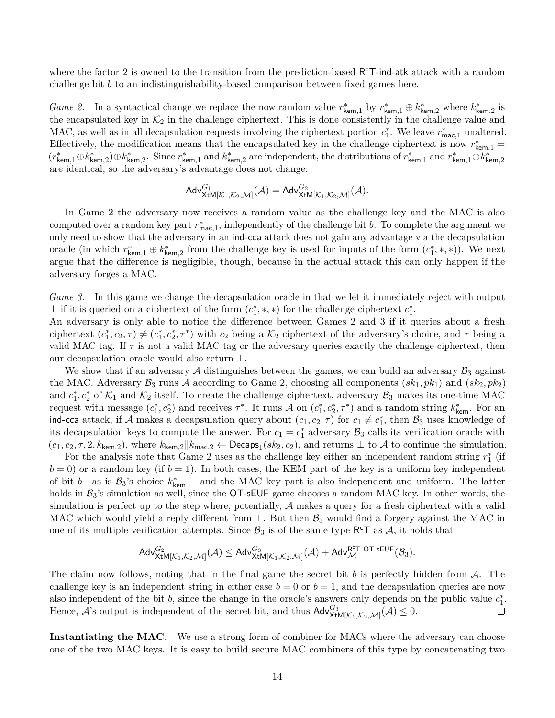where the factor 2 is owned to the transition from the prediction-based R<sup>c</sup>T-ind-atk attack with a random challenge bit *b* to an indistinguishability-based comparison between fixed games here.

<span id="page-13-0"></span>*Game 2.* In a syntactical change we replace the now random value  $r_{\text{kem},1}^*$  by  $r_{\text{kem},1}^* \oplus k_{\text{kem},2}^*$  where  $k_{\text{kem},2}^*$  is the encapsulated key in  $K_2$  in the challenge ciphertext. This is done consistently in the challenge value and MAC, as well as in all decapsulation requests involving the ciphertext portion  $c_1^*$ . We leave  $r_{\text{mac},1}^*$  unaltered. Effectively, the modification means that the encapsulated key in the challenge ciphertext is now  $r^*_{\text{kem},1}$  $(r_{\mathsf{kem},1}^*\oplus k_{\mathsf{kem},2}^*)\oplus k_{\mathsf{kem},2}^*$ . Since  $r_{\mathsf{kem},1}^*$  and  $k_{\mathsf{kem},2}^*$  are independent, the distributions of  $r_{\mathsf{kem},1}^*$  and  $r_{\mathsf{kem},1}^*\oplus k_{\mathsf{kem},2}^*$ are identical, so the adversary's advantage does not change:

$$
\mathsf{Adv}^{G_1}_{\mathsf{XtM}[\mathcal{K}_1,\mathcal{K}_2,\mathcal{M}]}(\mathcal{A})=\mathsf{Adv}^{G_2}_{\mathsf{XtM}[\mathcal{K}_1,\mathcal{K}_2,\mathcal{M}]}(\mathcal{A}).
$$

In Game [2](#page-13-0) the adversary now receives a random value as the challenge key and the MAC is also computed over a random key part  $r_{\text{mac},1}^*$ , independently of the challenge bit *b*. To complete the argument we only need to show that the adversary in an ind-cca attack does not gain any advantage via the decapsulation oracle (in which  $r_{\mathsf{kem},1}^* \oplus k_{\mathsf{kem},2}^*$  from the challenge key is used for inputs of the form  $(c_1^*,*,*)$ ). We next argue that the difference is negligible, though, because in the actual attack this can only happen if the adversary forges a MAC.

<span id="page-13-1"></span>*Game 3.* In this game we change the decapsulation oracle in that we let it immediately reject with output ⊥ if it is queried on a ciphertext of the form  $(c_1^*, *, *)$  for the challenge ciphertext  $c_1^*$ .

An adversary is only able to notice the difference between Games [2](#page-13-0) and [3](#page-13-1) if it queries about a fresh ciphertext  $(c_1^*, c_2, \tau) \neq (c_1^*, c_2^*, \tau^*)$  with  $c_2$  being a  $\mathcal{K}_2$  ciphertext of the adversary's choice, and  $\tau$  being a valid MAC tag. If  $\tau$  is not a valid MAC tag or the adversary queries exactly the challenge ciphertext, then our decapsulation oracle would also return ⊥.

We show that if an adversary A distinguishes between the games, we can build an adversary  $\mathcal{B}_3$  against the MAC. Adversary  $\mathcal{B}_3$  runs A according to Game [2,](#page-13-0) choosing all components  $(sk_1, pk_1)$  and  $(sk_2, pk_2)$ and  $c_1^*, c_2^*$  of  $\mathcal{K}_1$  and  $\mathcal{K}_2$  itself. To create the challenge ciphertext, adversary  $\mathcal{B}_3$  makes its one-time MAC request with message  $(c_1^*, c_2^*)$  and receives  $\tau^*$ . It runs A on  $(c_1^*, c_2^*, \tau^*)$  and a random string  $k_{\text{kem}}^*$ . For an ind-cca attack, if A makes a decapsulation query about  $(c_1, c_2, \tau)$  for  $c_1 \neq c_1^*$ , then  $\mathcal{B}_3$  uses knowledge of its decapsulation keys to compute the answer. For  $c_1 = c_1^*$  adversary  $\mathcal{B}_3$  calls its verification oracle with  $(c_1, c_2, \tau, 2, k_{\text{kem},2}),$  where  $k_{\text{kem},2}$  || $k_{\text{mac},2}$  ← Decaps<sub>1</sub>( $sk_2, c_2$ ), and returns  $\perp$  to  $\mathcal A$  to continue the simulation.

For the analysis note that Game [2](#page-13-0) uses as the challenge key either an independent random string  $r_1^*$  (if  $b = 0$ ) or a random key (if  $b = 1$ ). In both cases, the KEM part of the key is a uniform key independent of bit *b*—as is  $\mathcal{B}_3$ 's choice  $k_{\text{kem}}^*$ — and the MAC key part is also independent and uniform. The latter holds in  $B_3$ 's simulation as well, since the  $\overline{OT}$ -sEUF game chooses a random MAC key. In other words, the simulation is perfect up to the step where, potentially, A makes a query for a fresh ciphertext with a valid MAC which would yield a reply different from  $\perp$ . But then  $\mathcal{B}_3$  would find a forgery against the MAC in one of its multiple verification attempts. Since  $\mathcal{B}_3$  is of the same type R<sup>c</sup>T as  $\mathcal{A}$ , it holds that

$$
\mathsf{Adv}^{G_2}_{\mathsf{XtM}[\mathcal{K}_1,\mathcal{K}_2,\mathcal{M}]}(\mathcal{A}) \leq \mathsf{Adv}^{G_3}_{\mathsf{XtM}[\mathcal{K}_1,\mathcal{K}_2,\mathcal{M}]}(\mathcal{A}) + \mathsf{Adv}^{\mathsf{R}^{\mathsf{c}}\mathsf{T}\text{-}\mathsf{OT}\text{-}\mathsf{sEUF}}_{\mathcal{M}}(\mathcal{B}_3).
$$

The claim now follows, noting that in the final game the secret bit *b* is perfectly hidden from A. The challenge key is an independent string in either case  $b = 0$  or  $b = 1$ , and the decapsulation queries are now also independent of the bit *b*, since the change in the oracle's answers only depends on the public value  $c_1^*$ . Hence,  $\mathcal{A}$ 's output is independent of the secret bit, and thus  $\mathsf{Adv}_{\mathsf{XtM}[\mathcal{K}_1,\mathcal{K}_2,\mathcal{M}]}^{G_3}(\mathcal{A}) \leq 0$ .  $\Box$ 

**Instantiating the MAC.** We use a strong form of combiner for MACs where the adversary can choose one of the two MAC keys. It is easy to build secure MAC combiners of this type by concatenating two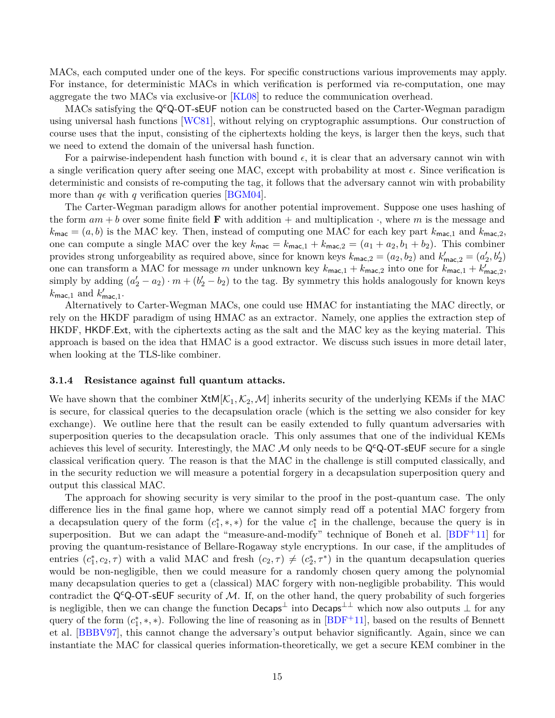MACs, each computed under one of the keys. For specific constructions various improvements may apply. For instance, for deterministic MACs in which verification is performed via re-computation, one may aggregate the two MACs via exclusive-or [\[KL08\]](#page-30-11) to reduce the communication overhead.

MACs satisfying the Q<sup>c</sup>Q-OT-sEUF notion can be constructed based on the Carter-Wegman paradigm using universal hash functions [\[WC81\]](#page-32-4), without relying on cryptographic assumptions. Our construction of course uses that the input, consisting of the ciphertexts holding the keys, is larger then the keys, such that we need to extend the domain of the universal hash function.

For a pairwise-independent hash function with bound  $\epsilon$ , it is clear that an adversary cannot win with a single verification query after seeing one MAC, except with probability at most  $\epsilon$ . Since verification is deterministic and consists of re-computing the tag, it follows that the adversary cannot win with probability more than  $q\epsilon$  with q verification queries [\[BGM04\]](#page-28-7).

The Carter-Wegman paradigm allows for another potential improvement. Suppose one uses hashing of the form  $am + b$  over some finite field **F** with addition  $+$  and multiplication  $\cdot$ , where m is the message and  $k_{\text{mac}} = (a, b)$  is the MAC key. Then, instead of computing one MAC for each key part  $k_{\text{mac},1}$  and  $k_{\text{mac},2}$ , one can compute a single MAC over the key  $k_{\text{mac}} = k_{\text{mac},1} + k_{\text{mac},2} = (a_1 + a_2, b_1 + b_2)$ . This combiner provides strong unforgeability as required above, since for known keys  $k_{\text{mac},2} = (a_2, b_2)$  and  $k'_{\text{mac},2} = (a'_2, b'_2)$ one can transform a MAC for message *m* under unknown key  $k_{\text{mac},1} + k_{\text{mac},2}$  into one for  $k_{\text{mac},1} + k'_{\text{mac},2}$ , simply by adding  $(a'_2 - a_2) \cdot m + (b'_2 - b_2)$  to the tag. By symmetry this holds analogously for known keys  $k_{\text{mac},1}$  and  $k'_{\text{mac},1}$ .

Alternatively to Carter-Wegman MACs, one could use HMAC for instantiating the MAC directly, or rely on the HKDF paradigm of using HMAC as an extractor. Namely, one applies the extraction step of HKDF, HKDF*.*Ext, with the ciphertexts acting as the salt and the MAC key as the keying material. This approach is based on the idea that HMAC is a good extractor. We discuss such issues in more detail later, when looking at the TLS-like combiner.

#### <span id="page-14-0"></span>**3.1.4 Resistance against full quantum attacks.**

We have shown that the combiner  $XtM[\mathcal{K}_1,\mathcal{K}_2,\mathcal{M}]$  inherits security of the underlying KEMs if the MAC is secure, for classical queries to the decapsulation oracle (which is the setting we also consider for key exchange). We outline here that the result can be easily extended to fully quantum adversaries with superposition queries to the decapsulation oracle. This only assumes that one of the individual KEMs achieves this level of security. Interestingly, the MAC  $\mathcal M$  only needs to be Q<sup>c</sup>Q-OT-sEUF secure for a single classical verification query. The reason is that the MAC in the challenge is still computed classically, and in the security reduction we will measure a potential forgery in a decapsulation superposition query and output this classical MAC.

The approach for showing security is very similar to the proof in the post-quantum case. The only difference lies in the final game hop, where we cannot simply read off a potential MAC forgery from a decapsulation query of the form  $(c_1^*,*,*)$  for the value  $c_1^*$  in the challenge, because the query is in superposition. But we can adapt the "measure-and-modify" technique of Boneh et al.  $[BDF+11]$  $[BDF+11]$  for proving the quantum-resistance of Bellare-Rogaway style encryptions. In our case, if the amplitudes of entries  $(c_1^*, c_2, \tau)$  with a valid MAC and fresh  $(c_2, \tau) \neq (c_2^*, \tau^*)$  in the quantum decapsulation queries would be non-negligible, then we could measure for a randomly chosen query among the polynomial many decapsulation queries to get a (classical) MAC forgery with non-negligible probability. This would contradict the Q<sup>c</sup>Q-OT-sEUF security of M. If, on the other hand, the query probability of such forgeries is negligible, then we can change the function Decaps<sup>⊥</sup> into Decaps<sup>⊥⊥</sup> which now also outputs ⊥ for any query of the form  $(c_1^*,*,*)$ . Following the line of reasoning as in [\[BDF](#page-28-0)<sup>+</sup>11], based on the results of Bennett et al. [\[BBBV97\]](#page-28-8), this cannot change the adversary's output behavior significantly. Again, since we can instantiate the MAC for classical queries information-theoretically, we get a secure KEM combiner in the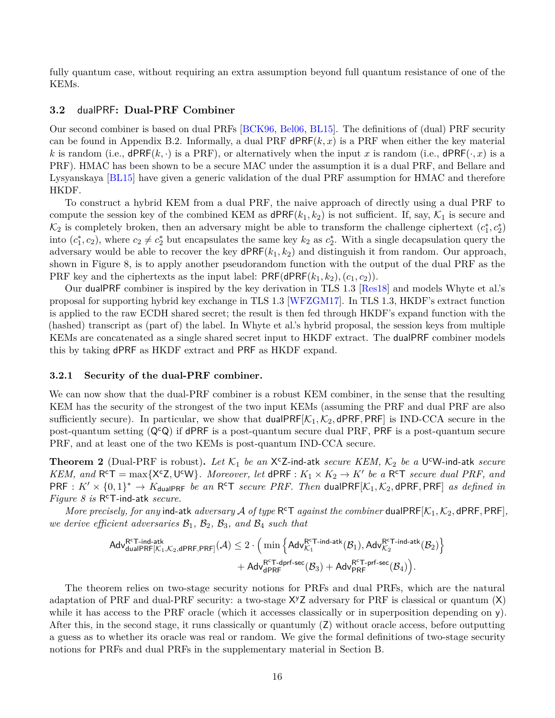fully quantum case, without requiring an extra assumption beyond full quantum resistance of one of the KEMs.

#### <span id="page-15-0"></span>**3.2** dualPRF**: Dual-PRF Combiner**

Our second combiner is based on dual PRFs [\[BCK96,](#page-28-5) [Bel06,](#page-28-6) [BL15\]](#page-29-10). The definitions of (dual) PRF security can be found in Appendix [B.2.](#page-34-0) Informally, a dual PRF  $dPRF(k, x)$  is a PRF when either the key material *k* is random (i.e.,  $dPRF(k, \cdot)$  is a PRF), or alternatively when the input *x* is random (i.e.,  $dPRF(\cdot, x)$  is a PRF). HMAC has been shown to be a secure MAC under the assumption it is a dual PRF, and Bellare and Lysyanskaya [\[BL15\]](#page-29-10) have given a generic validation of the dual PRF assumption for HMAC and therefore HKDF.

To construct a hybrid KEM from a dual PRF, the naive approach of directly using a dual PRF to compute the session key of the combined KEM as  $dPRF(k_1, k_2)$  is not sufficient. If, say,  $\mathcal{K}_1$  is secure and  $\mathcal{K}_2$  is completely broken, then an adversary might be able to transform the challenge ciphertext  $(c_1^*, c_2^*)$ into  $(c_1^*, c_2)$ , where  $c_2 \neq c_2^*$  but encapsulates the same key  $k_2$  as  $c_2^*$ . With a single decapsulation query the adversary would be able to recover the key dPRF(*k*1*, k*2) and distinguish it from random. Our approach, shown in Figure [8,](#page-16-0) is to apply another pseudorandom function with the output of the dual PRF as the PRF key and the ciphertexts as the input label:  $PRF(dPRF(k_1, k_2), (c_1, c_2))$ .

Our dualPRF combiner is inspired by the key derivation in TLS 1.3 [\[Res18\]](#page-31-8) and models Whyte et al.'s proposal for supporting hybrid key exchange in TLS 1.3 [\[WFZGM17\]](#page-32-1). In TLS 1.3, HKDF's extract function is applied to the raw ECDH shared secret; the result is then fed through HKDF's expand function with the (hashed) transcript as (part of) the label. In Whyte et al.'s hybrid proposal, the session keys from multiple KEMs are concatenated as a single shared secret input to HKDF extract. The dualPRF combiner models this by taking dPRF as HKDF extract and PRF as HKDF expand.

#### <span id="page-15-1"></span>**3.2.1 Security of the dual-PRF combiner.**

We can now show that the dual-PRF combiner is a robust KEM combiner, in the sense that the resulting KEM has the security of the strongest of the two input KEMs (assuming the PRF and dual PRF are also sufficiently secure). In particular, we show that dualPRF $[\mathcal{K}_1, \mathcal{K}_2, d$ PRF, PRF is IND-CCA secure in the post-quantum setting  $(Q^cQ)$  if dPRF is a post-quantum secure dual PRF, PRF is a post-quantum secure PRF, and at least one of the two KEMs is post-quantum IND-CCA secure.

**Theorem 2** (Dual-PRF is robust). Let  $K_1$  be an  $X^cZ$ -ind-atk *secure KEM*,  $K_2$  be a U<sup>c</sup>W-ind-atk *secure KEM, and*  $R^cT = \max\{X^cZ, U^cW\}$ *. Moreover, let*  $dPRF: K_1 \times K_2 \to K'$  be a  $R^cT$  *secure dual PRF, and*  $PRF: K' \times \{0,1\}^* \to K_{\text{dualPRF}}$  *be an* R<sup>c</sup>T *secure PRF. Then* dualPRF[ $K_1, K_2$ , dPRF, PRF] *as defined in Figure [8](#page-16-0) is* R <sup>c</sup>T-ind-atk *secure.*

*More precisely, for any* ind-atk *adversary*  $\mathcal A$  *of type*  $R^cT$  *against the combiner* dualPRF[ $K_1, K_2$ , dPRF, PRF], *we derive efficient adversaries* B1*,* B2*,* B3*, and* B<sup>4</sup> *such that*

$$
\begin{aligned} \mathsf{Adv}_{\mathsf{dualPRF}}^{\mathsf{R^cT\text{-}\mathsf{ind}\text{-}\mathsf{atk}}(\mathcal{K}_2, & \mathsf{dPr}_{\mathsf{F},\mathsf{PRF}}(\mathcal{A}) \leq 2 \cdot \Big( \min \Big\{ \mathsf{Adv}_{\mathcal{K}_1}^{\mathsf{R^cT\text{-}\mathsf{ind}\text{-}\mathsf{atk}}(\mathcal{B}_1), \mathsf{Adv}_{\mathcal{K}_2}^{\mathsf{R^cT\text{-}\mathsf{ind}\text{-}\mathsf{atk}}(\mathcal{B}_2) \Big\} \\ & + \mathsf{Adv}_{\mathsf{dPr}_{\mathsf{F}}^{\mathsf{R^cT\text{-}\mathsf{dprf}\text{-}\mathsf{sec}}(\mathcal{B}_3) + \mathsf{Adv}_{\mathsf{PRF}}^{\mathsf{R^cT\text{-}\mathsf{prf}\text{-}\mathsf{sec}}(\mathcal{B}_4) \Big). \end{aligned}
$$

The theorem relies on two-stage security notions for PRFs and dual PRFs, which are the natural adaptation of PRF and dual-PRF security: a two-stage  $X^{\gamma}Z$  adversary for PRF is classical or quantum  $(X)$ while it has access to the PRF oracle (which it accesses classically or in superposition depending on y). After this, in the second stage, it runs classically or quantumly (Z) without oracle access, before outputting a guess as to whether its oracle was real or random. We give the formal definitions of two-stage security notions for PRFs and dual PRFs in the supplementary material in Section [B.](#page-33-1)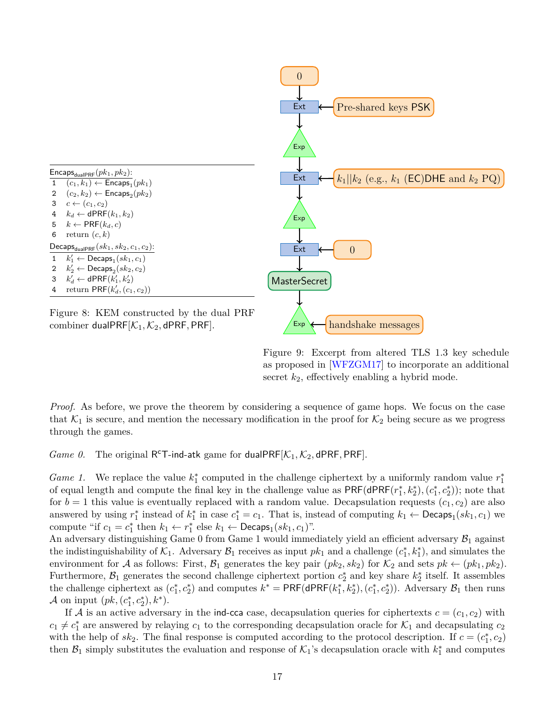

Figure 9: Excerpt from altered TLS 1.3 key schedule as proposed in [\[WFZGM17\]](#page-32-1) to incorporate an additional secret *k*2, effectively enabling a hybrid mode.

<span id="page-16-0"></span>*Proof.* As before, we prove the theorem by considering a sequence of game hops. We focus on the case that  $\mathcal{K}_1$  is secure, and mention the necessary modification in the proof for  $\mathcal{K}_2$  being secure as we progress through the games.

*Game 0.* The original R<sup>c</sup>T-ind-atk game for dualPRF[ $K_1, K_2$ , dPRF, PRF].

*Game 1.* We replace the value  $k_1^*$  computed in the challenge ciphertext by a uniformly random value  $r_1^*$ of equal length and compute the final key in the challenge value as  $PRF(dPRF(r_1^*, k_2^*), (c_1^*, c_2^*))$ ; note that for  $b = 1$  this value is eventually replaced with a random value. Decapsulation requests  $(c_1, c_2)$  are also answered by using  $r_1^*$  instead of  $k_1^*$  in case  $c_1^* = c_1$ . That is, instead of computing  $k_1 \leftarrow \mathsf{Decaps}_1(sk_1, c_1)$  we compute "if  $c_1 = c_1^*$  then  $k_1 \leftarrow r_1^*$  else  $k_1 \leftarrow \text{Decaps}_1(sk_1, c_1)$ ".

An adversary distinguishing Game [0](#page-12-2) from Game [1](#page-12-1) would immediately yield an efficient adversary  $\mathcal{B}_1$  against the indistinguishability of  $K_1$ . Adversary  $\mathcal{B}_1$  receives as input  $pk_1$  and a challenge  $(c_1^*, k_1^*)$ , and simulates the environment for A as follows: First,  $\mathcal{B}_1$  generates the key pair  $(pk_2, sk_2)$  for  $\mathcal{K}_2$  and sets  $pk \leftarrow (pk_1, pk_2)$ . Furthermore,  $\mathcal{B}_1$  generates the second challenge ciphertext portion  $c_2^*$  and key share  $k_2^*$  itself. It assembles the challenge ciphertext as  $(c_1^*, c_2^*)$  and computes  $k^* = \text{PRF}(\text{dPRF}(k_1^*, k_2^*), (c_1^*, c_2^*))$ . Adversary  $\mathcal{B}_1$  then runs *A* on input  $(pk, (c_1^*, c_2^*), k^*)$ .

If A is an active adversary in the ind-cca case, decapsulation queries for ciphertexts  $c = (c_1, c_2)$  with  $c_1 \neq c_1^*$  are answered by relaying  $c_1$  to the corresponding decapsulation oracle for  $\mathcal{K}_1$  and decapsulating  $c_2$ with the help of  $sk_2$ . The final response is computed according to the protocol description. If  $c = (c_1^*, c_2)$ then  $\mathcal{B}_1$  simply substitutes the evaluation and response of  $\mathcal{K}_1$ 's decapsulation oracle with  $k_1^*$  and computes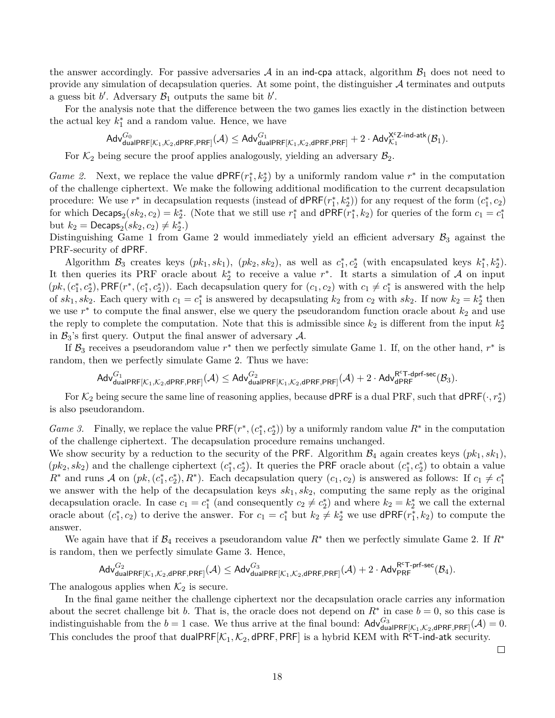the answer accordingly. For passive adversaries  $A$  in an ind-cpa attack, algorithm  $B_1$  does not need to provide any simulation of decapsulation queries. At some point, the distinguisher  $A$  terminates and outputs a guess bit  $b'$ . Adversary  $\mathcal{B}_1$  outputs the same bit  $b'$ .

For the analysis note that the difference between the two games lies exactly in the distinction between the actual key  $k_1^*$  and a random value. Hence, we have

$$
\mathsf{Adv}_{\mathsf{dualPRF}[\mathcal{K}_1,\mathcal{K}_2,\mathsf{dPRF},\mathsf{PRF}]}^{G_0}(\mathcal{A}) \leq \mathsf{Adv}_{\mathsf{dualPRF}[\mathcal{K}_1,\mathcal{K}_2,\mathsf{dPRF},\mathsf{PRF}]}^{G_1} + 2\cdot \mathsf{Adv}_{\mathcal{K}_1}^{\mathsf{X}^c\mathsf{Z}\text{-}\mathsf{ind}\text{-}\mathsf{atk}}(\mathcal{B}_1).
$$

For  $\mathcal{K}_2$  being secure the proof applies analogously, yielding an adversary  $\mathcal{B}_2$ .

*Game 2.* Next, we replace the value  $dPRF(r_1^*, k_2^*)$  by a uniformly random value  $r^*$  in the computation of the challenge ciphertext. We make the following additional modification to the current decapsulation procedure: We use  $r^*$  in decapsulation requests (instead of  $dPRF(r_1^*, k_2^*)$ ) for any request of the form  $(c_1^*, c_2)$ for which  $\textsf{Decaps}_2(sk_2, c_2) = k_2^*$ . (Note that we still use  $r_1^*$  and  $\textsf{dPRF}(r_1^*, k_2)$  for queries of the form  $c_1 = c_1^*$ but  $k_2 = \textsf{Decaps}_2(sk_2, c_2) \neq k_2^*$ .)

Distinguishing Game [1](#page-12-1) from Game [2](#page-13-0) would immediately yield an efficient adversary  $\mathcal{B}_3$  against the PRF-security of dPRF.

Algorithm  $\mathcal{B}_3$  creates keys  $(pk_1, sk_1)$ ,  $(pk_2, sk_2)$ , as well as  $c_1^*, c_2^*$  (with encapsulated keys  $k_1^*, k_2^*$ ). It then queries its PRF oracle about  $k_2^*$  to receive a value  $r^*$ . It starts a simulation of A on input  $(pk, (c_1^*, c_2^*)$ , PRF( $r^*, (c_1^*, c_2^*)$ ). Each decapsulation query for  $(c_1, c_2)$  with  $c_1 \neq c_1^*$  is answered with the help of  $sk_1, sk_2$ . Each query with  $c_1 = c_1^*$  is answered by decapsulating  $k_2$  from  $c_2$  with  $sk_2$ . If now  $k_2 = k_2^*$  then we use  $r^*$  to compute the final answer, else we query the pseudorandom function oracle about  $k_2$  and use the reply to complete the computation. Note that this is admissible since  $k_2$  is different from the input  $k_2^*$ in  $\mathcal{B}_3$ 's first query. Output the final answer of adversary  $\mathcal{A}$ .

If  $\mathcal{B}_3$  receives a pseudorandom value  $r^*$  then we perfectly simulate Game [1.](#page-12-1) If, on the other hand,  $r^*$  is random, then we perfectly simulate Game [2.](#page-13-0) Thus we have:

$$
\mathsf{Adv}_{\mathsf{dualPRF}[\mathcal{K}_1,\mathcal{K}_2,\mathsf{dPRF},\mathsf{PRF}]}^{G_1}(\mathcal{A}) \leq \mathsf{Adv}_{\mathsf{dualPRF}[\mathcal{K}_1,\mathcal{K}_2,\mathsf{dPRF},\mathsf{PRF}]}^{G_2}(\mathcal{A}) + 2 \cdot \mathsf{Adv}_{\mathsf{dPRF}}^{\mathsf{RT-dprf-sec}}(\mathcal{B}_3).
$$

For  $\mathcal{K}_2$  being secure the same line of reasoning applies, because dPRF is a dual PRF, such that  $\mathsf{dPRF}(\cdot, r_2^*)$ is also pseudorandom.

*Game 3.* Finally, we replace the value  $PRF(r^*, (c_1^*, c_2^*))$  by a uniformly random value  $R^*$  in the computation of the challenge ciphertext. The decapsulation procedure remains unchanged.

We show security by a reduction to the security of the PRF. Algorithm  $\mathcal{B}_4$  again creates keys  $(pk_1, sk_1)$ ,  $(pk_2, sk_2)$  and the challenge ciphertext  $(c_1^*, c_2^*)$ . It queries the PRF oracle about  $(c_1^*, c_2^*)$  to obtain a value  $R^*$  and runs A on  $(pk, (c_1^*, c_2^*), R^*)$ . Each decapsulation query  $(c_1, c_2)$  is answered as follows: If  $c_1 \neq c_1^*$ we answer with the help of the decapsulation keys *sk*1*, sk*2, computing the same reply as the original decapsulation oracle. In case  $c_1 = c_1^*$  (and consequently  $c_2 \neq c_2^*$ ) and where  $k_2 = k_2^*$  we call the external oracle about  $(c_1^*, c_2)$  to derive the answer. For  $c_1 = c_1^*$  but  $k_2 \neq k_2^*$  we use  $\mathsf{dPRF}(r_1^*, k_2)$  to compute the answer.

We again have that if  $\mathcal{B}_4$  receives a pseudorandom value  $R^*$  then we perfectly simulate Game [2.](#page-13-0) If  $R^*$ is random, then we perfectly simulate Game [3.](#page-13-1) Hence,

$$
\mathsf{Adv}_{\mathsf{dualPRF}[\mathcal{K}_1,\mathcal{K}_2,\mathsf{dPRF},\mathsf{PRF}]}^{G_2}(\mathcal{A}) \leq \mathsf{Adv}_{\mathsf{dualPRF}[\mathcal{K}_1,\mathcal{K}_2,\mathsf{dPRF},\mathsf{PRF}]}^{G_3}(\mathcal{A}) + 2 \cdot \mathsf{Adv}_{\mathsf{PRF}}^{\mathsf{RT-prf-sec}}(\mathcal{B}_4).
$$

The analogous applies when  $\mathcal{K}_2$  is secure.

In the final game neither the challenge ciphertext nor the decapsulation oracle carries any information about the secret challenge bit *b*. That is, the oracle does not depend on  $R^*$  in case  $b = 0$ , so this case is indistinguishable from the  $b = 1$  case. We thus arrive at the final bound:  $\mathsf{Adv}_{\mathsf{dualPRF}[\mathcal{K}_1,\mathcal{K}_2,\mathsf{dPRF},\mathsf{PRF}]}^{G_3}(\mathcal{A}) = 0.$ This concludes the proof that dualPRF $[\mathcal{K}_1, \mathcal{K}_2, d$ PRF, PRF] is a hybrid KEM with  $R^c$ T-ind-atk security.

 $\Box$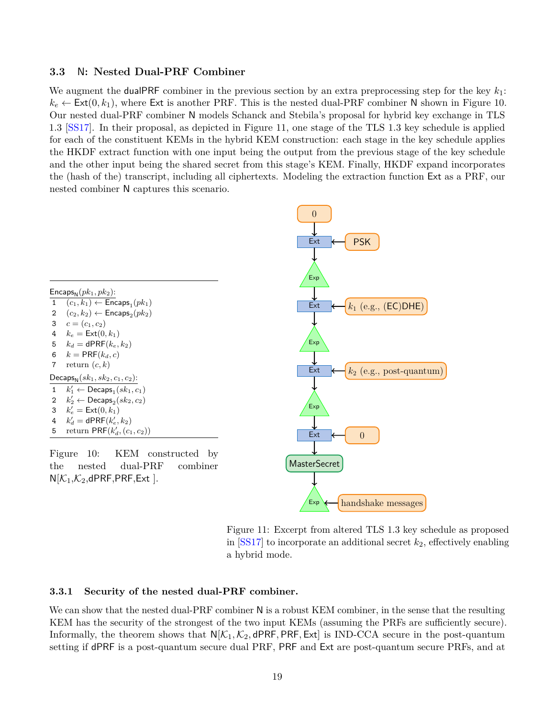#### <span id="page-18-0"></span>**3.3** N**: Nested Dual-PRF Combiner**

We augment the dualPRF combiner in the previous section by an extra preprocessing step for the key  $k_1$ :  $k_e \leftarrow \text{Ext}(0, k_1)$ , where Ext is another PRF. This is the nested dual-PRF combiner N shown in Figure [10.](#page-18-2) Our nested dual-PRF combiner N models Schanck and Stebila's proposal for hybrid key exchange in TLS 1.3 [\[SS17\]](#page-31-6). In their proposal, as depicted in Figure [11,](#page-18-3) one stage of the TLS 1.3 key schedule is applied for each of the constituent KEMs in the hybrid KEM construction: each stage in the key schedule applies the HKDF extract function with one input being the output from the previous stage of the key schedule and the other input being the shared secret from this stage's KEM. Finally, HKDF expand incorporates the (hash of the) transcript, including all ciphertexts. Modeling the extraction function Ext as a PRF, our nested combiner N captures this scenario.



<span id="page-18-3"></span><span id="page-18-2"></span>Figure 11: Excerpt from altered TLS 1.3 key schedule as proposed in  $[SS17]$  to incorporate an additional secret  $k_2$ , effectively enabling a hybrid mode.

#### <span id="page-18-1"></span>**3.3.1 Security of the nested dual-PRF combiner.**

We can show that the nested dual-PRF combiner N is a robust KEM combiner, in the sense that the resulting KEM has the security of the strongest of the two input KEMs (assuming the PRFs are sufficiently secure). Informally, the theorem shows that  $N[\mathcal{K}_1, \mathcal{K}_2, dPRF, PRF, Ext]$  is IND-CCA secure in the post-quantum setting if dPRF is a post-quantum secure dual PRF, PRF and Ext are post-quantum secure PRFs, and at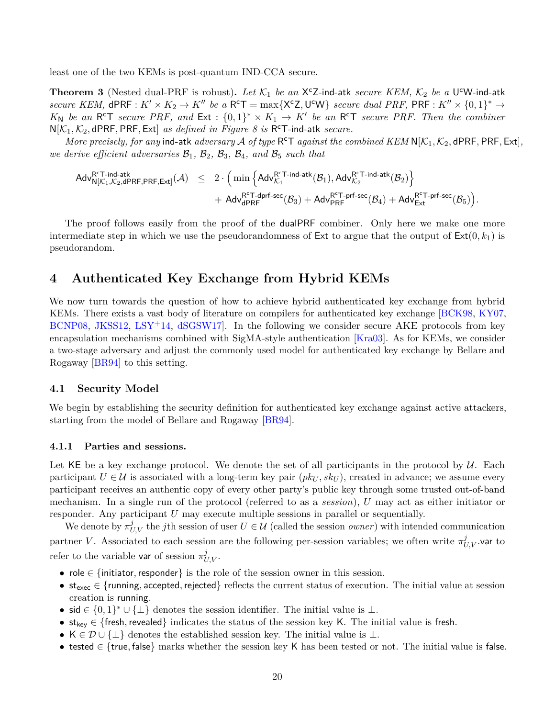least one of the two KEMs is post-quantum IND-CCA secure.

**Theorem 3** (Nested dual-PRF is robust). Let  $K_1$  be an  $X^cZ$ -ind-atk *secure KEM*,  $K_2$  be a U<sup>c</sup>W-ind-atk *secure KEM,*  $dPRF: K' \times K_2 \to K''$  *be a*  $R^cT = \max\{X^cZ, U^cW\}$  *secure dual PRF,*  $PRF: K'' \times \{0,1\}^* \to$  $K_N$  *be an* R<sup>c</sup>T *secure PRF*, and Ext :  $\{0,1\}^* \times K_1 \to K'$  *be an* R<sup>c</sup>T *secure PRF*. Then the combiner N[K1*,* K2*,* dPRF*,* PRF*,* Ext] *as defined in Figure [8](#page-16-0) is* R <sup>c</sup>T-ind-atk *secure.*

*More precisely, for any* ind-atk *adversary*  $\mathcal A$  *of type*  $R^cT$  *against the combined KEM*  $N[\mathcal K_1, \mathcal K_2, d$ PRF, PRF, Ext], *we derive efficient adversaries*  $B_1$ ,  $B_2$ ,  $B_3$ ,  $B_4$ , and  $B_5$  *such that* 

$$
\begin{array}{lcl} \mathsf{Adv}_{\mathsf{N}[\mathcal{K}_1,\mathcal{K}_2,\mathsf{dPRF},\mathsf{PRF},\mathsf{Ext}]}^{\mathsf{R^cT-int}}(\mathcal{A}) & \leq & 2 \cdot \Big( \min \Big\{ \mathsf{Adv}_{\mathcal{K}_1}^{\mathsf{R^cT-int-ant}}(\mathcal{B}_1), \mathsf{Adv}_{\mathcal{K}_2}^{\mathsf{R^cT-int-ant}}(\mathcal{B}_2) \Big\} \\ & & + & \mathsf{Adv}_{\mathsf{dPRF}}^{\mathsf{R^cT-dprf-sec}}(\mathcal{B}_3) + \mathsf{Adv}_{\mathsf{PRF}}^{\mathsf{R^cT-prf-sec}}(\mathcal{B}_4) + \mathsf{Adv}_{\mathsf{Ext}}^{\mathsf{R^cT-prf-sec}}(\mathcal{B}_5) \Big). \end{array}
$$

The proof follows easily from the proof of the dualPRF combiner. Only here we make one more intermediate step in which we use the pseudorandomness of Ext to argue that the output of  $Ext(0, k_1)$  is pseudorandom.

## <span id="page-19-0"></span>**4 Authenticated Key Exchange from Hybrid KEMs**

We now turn towards the question of how to achieve hybrid authenticated key exchange from hybrid KEMs. There exists a vast body of literature on compilers for authenticated key exchange [\[BCK98,](#page-28-9) [KY07,](#page-31-10) [BCNP08,](#page-28-10) [JKSS12,](#page-30-12) [LSY](#page-31-11)+14, [dSGSW17\]](#page-30-13). In the following we consider secure AKE protocols from key encapsulation mechanisms combined with SigMA-style authentication [\[Kra03\]](#page-31-9). As for KEMs, we consider a two-stage adversary and adjust the commonly used model for authenticated key exchange by Bellare and Rogaway [\[BR94\]](#page-29-11) to this setting.

#### <span id="page-19-1"></span>**4.1 Security Model**

We begin by establishing the security definition for authenticated key exchange against active attackers, starting from the model of Bellare and Rogaway [\[BR94\]](#page-29-11).

#### <span id="page-19-2"></span>**4.1.1 Parties and sessions.**

Let KE be a key exchange protocol. We denote the set of all participants in the protocol by  $\mathcal{U}$ . Each participant  $U \in \mathcal{U}$  is associated with a long-term key pair  $(\mathit{pk}_U, \mathit{sk}_U)$ , created in advance; we assume every participant receives an authentic copy of every other party's public key through some trusted out-of-band mechanism. In a single run of the protocol (referred to as a *session*), *U* may act as either initiator or responder. Any participant *U* may execute multiple sessions in parallel or sequentially.

We denote by  $\pi_{U,V}^j$  the *j*th session of user  $U \in \mathcal{U}$  (called the session *owner*) with intended communication partner *V*. Associated to each session are the following per-session variables; we often write  $\pi_{U,V}^j$  var to refer to the variable var of session  $\pi_{U,V}^j$ .

- role ∈ {initiator*,*responder} is the role of the session owner in this session.
- stexec ∈ {running*,* accepted*,*rejected} reflects the current status of execution. The initial value at session creation is running.
- sid  $\in \{0,1\}^* \cup \{\perp\}$  denotes the session identifier. The initial value is  $\perp$ .
- stkey ∈ {fresh*,*revealed} indicates the status of the session key K. The initial value is fresh.
- K  $\in \mathcal{D} \cup \{\perp\}$  denotes the established session key. The initial value is  $\perp$ .
- tested ∈ {true*,* false} marks whether the session key K has been tested or not. The initial value is false.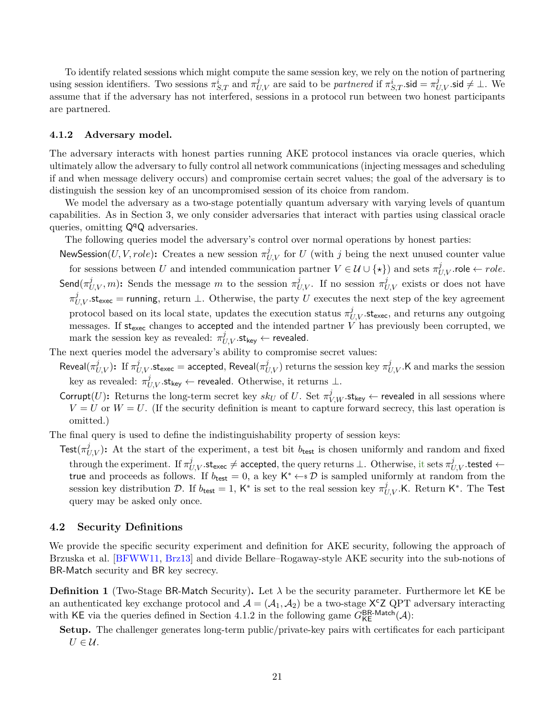To identify related sessions which might compute the same session key, we rely on the notion of partnering using session identifiers. Two sessions  $\pi_{S,T}^i$  and  $\pi_{U,V}^j$  are said to be *partnered* if  $\pi_{S,T}^i$  sid  $=\pi_{U,V}^j$  sid  $\neq \bot$ . We assume that if the adversary has not interfered, sessions in a protocol run between two honest participants are partnered.

#### <span id="page-20-0"></span>**4.1.2 Adversary model.**

The adversary interacts with honest parties running AKE protocol instances via oracle queries, which ultimately allow the adversary to fully control all network communications (injecting messages and scheduling if and when message delivery occurs) and compromise certain secret values; the goal of the adversary is to distinguish the session key of an uncompromised session of its choice from random.

We model the adversary as a two-stage potentially quantum adversary with varying levels of quantum capabilities. As in Section [3,](#page-9-1) we only consider adversaries that interact with parties using classical oracle queries, omitting  $\mathsf{Q}^q\mathsf{Q}$  adversaries.

The following queries model the adversary's control over normal operations by honest parties:

NewSession(*U, V, role*): Creates a new session  $\pi_{U,V}^j$  for *U* (with *j* being the next unused counter value for sessions between *U* and intended communication partner  $V \in \mathcal{U} \cup \{ \star \}$  and sets  $\pi_{U,V}^j$  role  $\leftarrow$  *role*. Send $(\pi_{U,V}^j, m)$ : Sends the message *m* to the session  $\pi_{U,V}^j$ . If no session  $\pi_{U,V}^j$  exists or does not have  $\pi^j_{U,V}$ .st<sub>exec</sub> = running, return ⊥. Otherwise, the party *U* executes the next step of the key agreement protocol based on its local state, updates the execution status  $\pi_{U,V}^j$ .st<sub>exec</sub>, and returns any outgoing messages. If  $st_{exec}$  changes to accepted and the intended partner  $V$  has previously been corrupted, we mark the session key as revealed:  $\pi_{U,V}^j$  *s*t<sub>key</sub>  $\leftarrow$  revealed.

The next queries model the adversary's ability to compromise secret values:

- Reveal( $\pi^j_{U,V}$ ): If  $\pi^j_{U,V}.$ st<sub>exec</sub> = accepted, Reveal( $\pi^j_{U,V}$ ) returns the session key  $\pi^j_{U,V}.$ K and marks the session key as revealed:  $\pi^j_{U,V}$ .st<sub>key</sub> ← revealed. Otherwise, it returns ⊥.
- Corrupt $(U)$ : Returns the long-term secret key  $sk_{U}$  of  $U$ . Set  $\pi_{V,W}^{j}$ .st<sub>key</sub>  $\leftarrow$  revealed in all sessions where  $V = U$  or  $W = U$ . (If the security definition is meant to capture forward secrecy, this last operation is omitted.)

The final query is used to define the indistinguishability property of session keys:

Test( $\pi_{U,V}^j$ ): At the start of the experiment, a test bit  $b_{\text{test}}$  is chosen uniformly and random and fixed  $t$ hrough the experiment. If  $\pi^j_{U,V}$ .st<sub>exec</sub>  $\neq$  accepted, the query returns  $\bot$ . Otherwise, it sets  $\pi^j_{U,V}$ .tested  $\leftarrow$ true and proceeds as follows. If  $b_{test} = 0$ , a key  $K^* \leftarrow \mathcal{D}$  is sampled uniformly at random from the session key distribution D. If  $b_{test} = 1$ , K<sup>\*</sup> is set to the real session key  $\pi_{U,V}^j$ .K. Return K<sup>\*</sup>. The Test query may be asked only once.

#### <span id="page-20-1"></span>**4.2 Security Definitions**

We provide the specific security experiment and definition for AKE security, following the approach of Brzuska et al. [\[BFWW11,](#page-28-11) [Brz13\]](#page-29-12) and divide Bellare–Rogaway-style AKE security into the sub-notions of BR-Match security and BR key secrecy.

<span id="page-20-2"></span>**Definition 1** (Two-Stage BR-Match Security)**.** Let *λ* be the security parameter. Furthermore let KE be an authenticated key exchange protocol and  $A = (A_1, A_2)$  be a two-stage X<sup>c</sup>Z QPT adversary interacting with KE via the queries defined in Section [4.1.2](#page-20-0) in the following game  $G_{KE}^{BR-Match}(\mathcal{A})$ :

**Setup.** The challenger generates long-term public/private-key pairs with certificates for each participant  $U \in \mathcal{U}$ .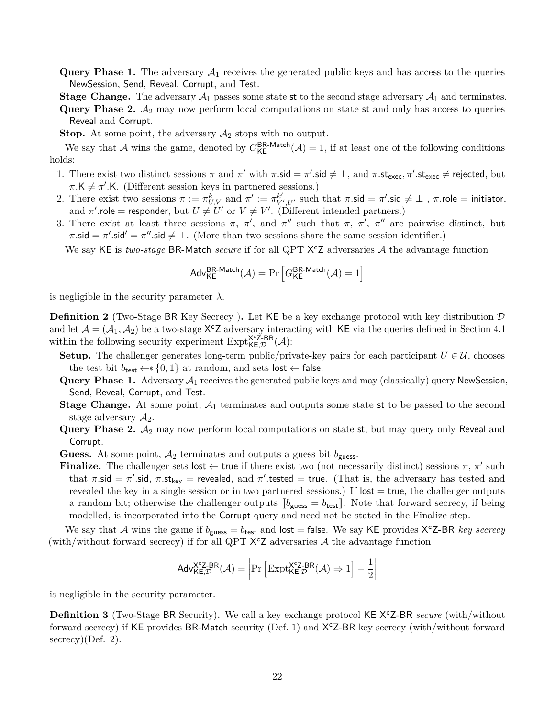**Query Phase 1.** The adversary  $A_1$  receives the generated public keys and has access to the queries NewSession, Send, Reveal, Corrupt, and Test.

**Stage Change.** The adversary  $A_1$  passes some state st to the second stage adversary  $A_1$  and terminates.

**Query Phase 2.**  $A_2$  may now perform local computations on state st and only has access to queries Reveal and Corrupt.

**Stop.** At some point, the adversary  $A_2$  stops with no output.

We say that A wins the game, denoted by  $G_{\text{KE}}^{\text{BR-Match}}(\mathcal{A})=1$ , if at least one of the following conditions holds:

- 1. There exist two distinct sessions  $\pi$  and  $\pi'$  with  $\pi$ .sid  $\neq \bot$ , and  $\pi$ .st<sub>exec</sub>,  $\pi'$ .st<sub>exec</sub>  $\neq$  rejected, but  $\pi$ .K  $\neq \pi'$ .K. (Different session keys in partnered sessions.)
- 2. There exist two sessions  $\pi := \pi_{U,V}^{\overline{k}}$  and  $\pi' := \pi_{V',U'}^{\overline{k}'}$  such that  $\pi.\mathsf{sid} = \pi'.\mathsf{sid} \neq \bot$  ,  $\pi.\mathsf{role} = \mathsf{initiator},$ and  $\pi'$  role = responder, but  $U \neq U'$  or  $V \neq V'$ . (Different intended partners.)
- 3. There exist at least three sessions  $\pi$ ,  $\pi'$ , and  $\pi''$  such that  $\pi$ ,  $\pi'$ ,  $\pi''$  are pairwise distinct, but  $\pi.\mathsf{sid} = \pi'.\mathsf{sid}' = \pi''.\mathsf{sid} \neq \bot.$  (More than two sessions share the same session identifier.)

We say KE is *two-stage* BR-Match *secure* if for all QPT X<sup>c</sup>Z adversaries A the advantage function

$$
\mathsf{Adv}_{\mathsf{KE}}^{\mathsf{BR\text{-}Match}}(\mathcal{A}) = \Pr\left[G_{\mathsf{KE}}^{\mathsf{BR\text{-}Match}}(\mathcal{A}) = 1\right]
$$

is negligible in the security parameter  $\lambda$ .

<span id="page-21-0"></span>**Definition 2** (Two-Stage BR Key Secrecy). Let KE be a key exchange protocol with key distribution D and let  $A = (A_1, A_2)$  be a two-stage X<sup>c</sup>Z adversary interacting with KE via the queries defined in Section [4.1](#page-19-1) within the following security experiment  $\text{Expt}_{\mathsf{KE},\mathcal{D}}^{\mathsf{X} \in \mathsf{Z-BR}}(\mathcal{A})$ :

- **Setup.** The challenger generates long-term public/private-key pairs for each participant  $U \in \mathcal{U}$ , chooses the test bit  $b_{\text{test}} \leftarrow s \{0, 1\}$  at random, and sets lost  $\leftarrow$  false.
- **Query Phase 1.** Adversary  $A_1$  receives the generated public keys and may (classically) query NewSession, Send, Reveal, Corrupt, and Test.
- **Stage Change.** At some point,  $A_1$  terminates and outputs some state st to be passed to the second stage adversary  $A_2$ .
- Query Phase 2.  $A_2$  may now perform local computations on state st, but may query only Reveal and Corrupt.

**Guess.** At some point,  $A_2$  terminates and outputs a guess bit  $b_{\text{guess}}$ .

**Finalize.** The challenger sets lost  $\leftarrow$  true if there exist two (not necessarily distinct) sessions  $\pi$ ,  $\pi'$  such that  $\pi$  sid =  $\pi'$  sid,  $\pi$  st<sub>key</sub> = revealed, and  $\pi'$  tested = true. (That is, the adversary has tested and revealed the key in a single session or in two partnered sessions.) If  $\mathsf{lost} = \mathsf{true}$ , the challenger outputs a random bit; otherwise the challenger outputs  $\llbracket b_{\text{guess}} = b_{\text{test}} \rrbracket$ . Note that forward secrecy, if being modelled, is incorporated into the Corrupt query and need not be stated in the Finalize step.

We say that A wins the game if  $b_{\text{guess}} = b_{\text{test}}$  and  $\text{lost} = \text{false}$ . We say KE provides  $X^cZ$ -BR *key secrecy* (with/without forward secrecy) if for all QPT  $X^cZ$  adversaries A the advantage function

$$
\mathsf{Adv}_{\mathsf{KE},\mathcal{D}}^{\mathsf{X}^\mathsf{c}\mathsf{Z}\text{-}\mathsf{BR}}(\mathcal{A}) = \left| \Pr\left[ \mathrm{Expt}_{\mathsf{KE},\mathcal{D}}^{\mathsf{X}^\mathsf{c}\mathsf{Z}\text{-}\mathsf{BR}}(\mathcal{A}) \Rightarrow 1 \right] - \frac{1}{2} \right|
$$

is negligible in the security parameter.

<span id="page-21-1"></span>**Definition 3** (Two-Stage BR Security). We call a key exchange protocol KE X<sup>c</sup>Z-BR *secure* (with/without forward secrecy) if KE provides BR-Match security (Def. [1\)](#page-20-2) and  $X<sup>c</sup>Z-BR$  key secrecy (with/without forward  $s$ ecrecy)(Def. [2\)](#page-21-0).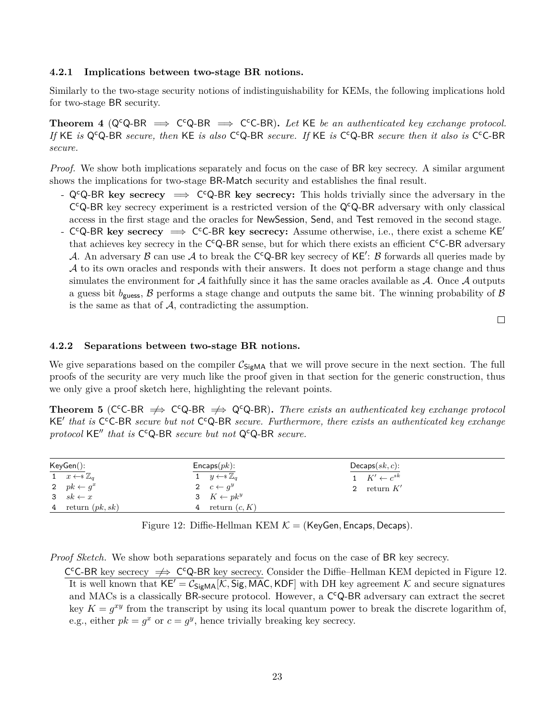#### <span id="page-22-0"></span>**4.2.1 Implications between two-stage BR notions.**

Similarly to the two-stage security notions of indistinguishability for KEMs, the following implications hold for two-stage BR security.

Theorem 4 ( $Q^cQ$ -BR  $\implies C^cQ$ -BR  $\implies C^cC$ -BR). Let KE be an authenticated key exchange protocol. If KE *is* Q<sup>c</sup>Q-BR *secure, then* KE *is also* C<sup>c</sup>Q-BR *secure. If* KE *is* C<sup>c</sup>Q-BR *secure then it also is* C<sup>c</sup>C-BR *secure.*

*Proof.* We show both implications separately and focus on the case of BR key secrecy. A similar argument shows the implications for two-stage BR-Match security and establishes the final result.

- QcQ-BR **key secrecy** =⇒ C <sup>c</sup>Q-BR **key secrecy:** This holds trivially since the adversary in the  $C^{c}Q$ -BR key secrecy experiment is a restricted version of the  $Q^{c}Q$ -BR adversary with only classical access in the first stage and the oracles for NewSession, Send, and Test removed in the second stage.
- C<sup>c</sup>Q-BR key secrecy ⇒ C<sup>c</sup>C-BR key secrecy: Assume otherwise, i.e., there exist a scheme KE<sup>'</sup> that achieves key secrecy in the C<sup>c</sup>Q-BR sense, but for which there exists an efficient C<sup>c</sup>C-BR adversary A. An adversary B can use A to break the C<sup>c</sup>Q-BR key secrecy of KE': B forwards all queries made by A to its own oracles and responds with their answers. It does not perform a stage change and thus simulates the environment for  $A$  faithfully since it has the same oracles available as  $A$ . Once  $A$  outputs a guess bit  $b_{\text{guess}}$ ,  $\beta$  performs a stage change and outputs the same bit. The winning probability of  $\beta$ is the same as that of  $A$ , contradicting the assumption.

 $\Box$ 

#### <span id="page-22-1"></span>**4.2.2 Separations between two-stage BR notions.**

We give separations based on the compiler  $C_{\text{SiEMA}}$  that we will prove secure in the next section. The full proofs of the security are very much like the proof given in that section for the generic construction, thus we only give a proof sketch here, highlighting the relevant points.

**Theorem 5** (C<sup>c</sup>C-BR  $\Rightarrow$  C<sup>c</sup>Q-BR  $\Rightarrow$  Q<sup>c</sup>Q-BR). *There exists an authenticated key exchange protocol* KE' that is C<sup>c</sup>C-BR secure but not C<sup>c</sup>Q-BR secure. Furthermore, there exists an authenticated key exchange protocol KE" that is C<sup>c</sup>Q-BR secure but not Q<sup>c</sup>Q-BR secure.

| KeyGen():                       | $\mathsf{Encaps}(pk)$ :         | $Decaps(sk, c)$ :             |  |
|---------------------------------|---------------------------------|-------------------------------|--|
| 1 $x \leftarrow s \mathbb{Z}_q$ | 1 $y \leftarrow s \mathbb{Z}_q$ | $1\quad K' \leftarrow c^{sk}$ |  |
| 2 $pk \leftarrow q^x$           | 2 $c \leftarrow q^y$            | 2 return $K'$                 |  |
| 3 $sk \leftarrow x$             | 3 $K \leftarrow pk^y$           |                               |  |
| 4 return $(pk, sk)$             | 4 return $(c, K)$               |                               |  |

<span id="page-22-2"></span>Figure 12: Diffie-Hellman KEM K = (KeyGen*,* Encaps*,* Decaps).

*Proof Sketch.* We show both separations separately and focus on the case of BR key secrecy.

C<sup>c</sup>C-BR key secrecy  $\Rightarrow$  C<sup>c</sup>Q-BR key secrecy. Consider the Diffie–Hellman KEM depicted in Figure [12.](#page-22-2) It is well known that  $KE' = C_{SigMA}[\mathcal{K}, Sig, MAC, KDF]$  with DH key agreement K and secure signatures and MACs is a classically BR-secure protocol. However, a C<sup>c</sup>Q-BR adversary can extract the secret key  $K = g^{xy}$  from the transcript by using its local quantum power to break the discrete logarithm of, e.g., either  $pk = g^x$  or  $c = g^y$ , hence trivially breaking key secrecy.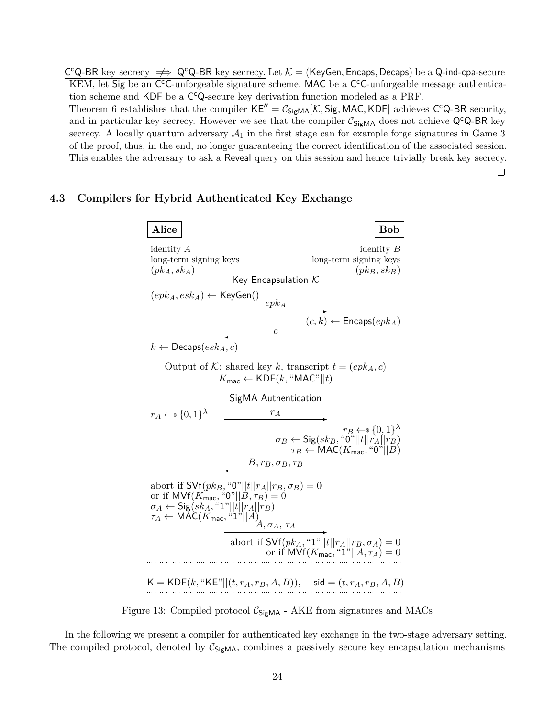$C^cQ$ -BR key secrecy  $\implies Q^cQ$ -BR key secrecy. Let  $K =$  (KeyGen, Encaps, Decaps) be a Q-ind-cpa-secure KEM, let Sig be an C<sup>c</sup>C-unforgeable signature scheme, MAC be a C<sup>c</sup>C-unforgeable message authentication scheme and KDF be a C<sup>c</sup>Q-secure key derivation function modeled as a PRF.

Theorem [6](#page-24-1) establishes that the compiler  $KE'' = C_{SigMA}[K, Sig, MAC, KDF]$  achieves C<sup>c</sup>Q-BR security, and in particular key secrecy. However we see that the compiler  $C_{\text{SigMA}}$  does not achieve Q<sup>c</sup>Q-BR key secrecy. A locally quantum adversary  $A_1$  in the first stage can for example forge signatures in Game 3 of the proof, thus, in the end, no longer guaranteeing the correct identification of the associated session. This enables the adversary to ask a Reveal query on this session and hence trivially break key secrecy.

 $\Box$ 

#### <span id="page-23-0"></span>**4.3 Compilers for Hybrid Authenticated Key Exchange**



<span id="page-23-1"></span>Figure 13: Compiled protocol  $C_{\text{SigMA}}$  - AKE from signatures and MACs

In the following we present a compiler for authenticated key exchange in the two-stage adversary setting. The compiled protocol, denoted by  $C_{\text{SigMA}}$ , combines a passively secure key encapsulation mechanisms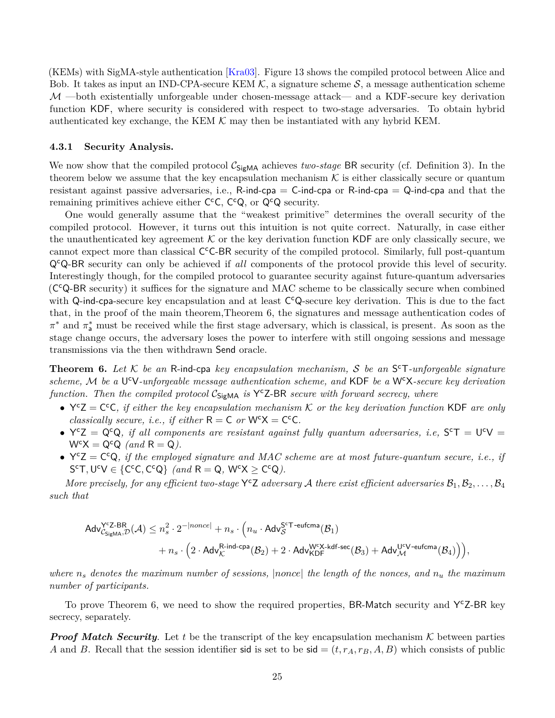(KEMs) with SigMA-style authentication [\[Kra03\]](#page-31-9). Figure [13](#page-23-1) shows the compiled protocol between Alice and Bob. It takes as input an IND-CPA-secure KEM  $K$ , a signature scheme  $S$ , a message authentication scheme  $M$  —both existentially unforgeable under chosen-message attack— and a KDF-secure key derivation function KDF, where security is considered with respect to two-stage adversaries. To obtain hybrid authenticated key exchange, the KEM  $K$  may then be instantiated with any hybrid KEM.

#### <span id="page-24-0"></span>**4.3.1 Security Analysis.**

We now show that the compiled protocol  $\mathcal{C}_{\mathsf{SignMA}}$  achieves *two-stage* BR security (cf. Definition [3\)](#page-21-1). In the theorem below we assume that the key encapsulation mechanism  $K$  is either classically secure or quantum resistant against passive adversaries, i.e.,  $R$ -ind-cpa =  $C$ -ind-cpa or  $R$ -ind-cpa =  $Q$ -ind-cpa and that the remaining primitives achieve either  $C^cC$ ,  $C^cQ$ , or  $Q^cQ$  security.

One would generally assume that the "weakest primitive" determines the overall security of the compiled protocol. However, it turns out this intuition is not quite correct. Naturally, in case either the unauthenticated key agreement  $K$  or the key derivation function KDF are only classically secure, we cannot expect more than classical C<sup>c</sup>C-BR security of the compiled protocol. Similarly, full post-quantum QcQ-BR security can only be achieved if *all* components of the protocol provide this level of security. Interestingly though, for the compiled protocol to guarantee security against future-quantum adversaries (C <sup>c</sup>Q-BR security) it suffices for the signature and MAC scheme to be classically secure when combined with Q-ind-cpa-secure key encapsulation and at least C<sup>c</sup>Q-secure key derivation. This is due to the fact that, in the proof of the main theorem,Theorem [6,](#page-24-1) the signatures and message authentication codes of *π*<sup>\*</sup> and *π*<sup>\*</sup><sub>a</sub> must be received while the first stage adversary, which is classical, is present. As soon as the stage change occurs, the adversary loses the power to interfere with still ongoing sessions and message transmissions via the then withdrawn Send oracle.

<span id="page-24-1"></span>**Theorem 6.** *Let* K *be an* R-ind-cpa *key encapsulation mechanism,* S *be an* S <sup>c</sup>T*-unforgeable signature scheme,* M *be a* U <sup>c</sup>V*-unforgeable message authentication scheme, and* KDF *be a* WcX*-secure key derivation* function. Then the compiled protocol  $C_{\text{SigMA}}$  *is* Y<sup>c</sup>Z-BR *secure with forward secrecy, where* 

- $Y^cZ = C^cC$ *, if either the key encapsulation mechanism* K *or the key derivation function* KDF *are only classically secure, i.e., if either*  $R = C$  *or*  $W<sup>c</sup>X = C<sup>c</sup>C$ *.*
- $Y^cZ = Q^cQ$ , if all components are resistant against fully quantum adversaries, i.e,  $S^cT = U^cV =$  $W^{c}X = Q^{c}Q$  *(and*  $R = Q$ ).
- $Y^cZ = C^cQ$ , if the employed signature and MAC scheme are at most future-quantum secure, *i.e.*, if  $S^cT, U^cV \in \{C^cC, C^cQ\}$  *(and*  $R = Q$ ,  $W^cX \ge C^cQ$ *)*.

*More precisely, for any efficient two-stage*  $Y^cZ$  *adversary*  $A$  *there exist efficient adversaries*  $B_1, B_2, \ldots, B_4$ *such that*

$$
\begin{aligned} \mathsf{Adv}^{\mathsf{Y}^{\mathsf{c}}\mathsf{Z}\text{-}\mathsf{BR}}_{{\mathcal{C}}_{\mathsf{SigMA}}, {\mathcal{D}}}({\mathcal{A}}) & \leq n_s^2 \cdot 2^{-|nonce|} + n_s \cdot \Big( n_u \cdot \mathsf{Adv}^{\mathsf{S}^{\mathsf{c}}\mathsf{T}\text{-}\mathsf{eufcma}}({\mathcal{B}}_1) \\ & \qquad \qquad + n_s \cdot \Big( 2 \cdot \mathsf{Adv}^{\mathsf{R}\text{-}\mathsf{ind}\text{-}\mathsf{cpa}}_{\mathcal{K}}({\mathcal{B}}_2) + 2 \cdot \mathsf{Adv}^{\mathsf{W}^{\mathsf{c}}\mathsf{X}\text{-}\mathsf{kdf}\text{-}\mathsf{sec}}({\mathcal{B}}_3) + \mathsf{Adv}^{\mathsf{U}^{\mathsf{c}}\mathsf{V}\text{-}\mathsf{eufcma}}_{\mathcal{M}}({\mathcal{B}}_4) \Big) \Big), \end{aligned}
$$

*where n<sup>s</sup> denotes the maximum number of sessions,* |*nonce*| *the length of the nonces, and n<sup>u</sup> the maximum number of participants.*

To prove Theorem [6,](#page-24-1) we need to show the required properties, BR-Match security and YCZ-BR key secrecy, separately.

*Proof Match Security.* Let t be the transcript of the key encapsulation mechanism  $K$  between parties *A* and *B*. Recall that the session identifier sid is set to be sid  $=(t, r_A, r_B, A, B)$  which consists of public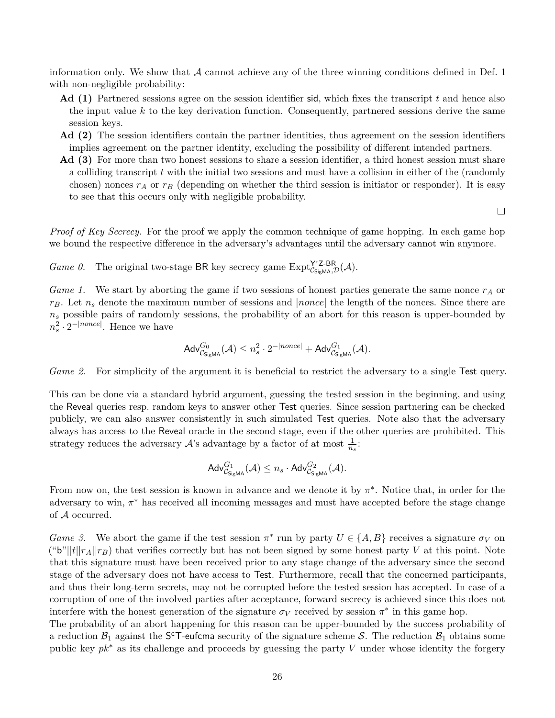information only. We show that  $\mathcal A$  cannot achieve any of the three winning conditions defined in Def. [1](#page-20-2) with non-negligible probability:

- **Ad (1)** Partnered sessions agree on the session identifier sid, which fixes the transcript *t* and hence also the input value *k* to the key derivation function. Consequently, partnered sessions derive the same session keys.
- **Ad (2)** The session identifiers contain the partner identities, thus agreement on the session identifiers implies agreement on the partner identity, excluding the possibility of different intended partners.
- **Ad (3)** For more than two honest sessions to share a session identifier, a third honest session must share a colliding transcript *t* with the initial two sessions and must have a collision in either of the (randomly chosen) nonces  $r_A$  or  $r_B$  (depending on whether the third session is initiator or responder). It is easy to see that this occurs only with negligible probability.

 $\Box$ 

*Proof of Key Secrecy.* For the proof we apply the common technique of game hopping. In each game hop we bound the respective difference in the adversary's advantages until the adversary cannot win anymore.

*Game 0.* The original two-stage BR key secrecy game  $\text{Expt}_{\mathcal{C}_{\text{SigMA}}, \mathcal{D}}^{\text{ycZ-BR}}(\mathcal{A})$ .

*Game 1.* We start by aborting the game if two sessions of honest parties generate the same nonce *r<sup>A</sup>* or *rB*. Let *n<sup>s</sup>* denote the maximum number of sessions and |*nonce*| the length of the nonces. Since there are  $n<sub>s</sub>$  possible pairs of randomly sessions, the probability of an abort for this reason is upper-bounded by  $n_s^2 \cdot 2^{-|none|}$ . Hence we have

$$
\mathsf{Adv}^{G_0}_{\mathcal{C}_{\mathsf{SigMA}}}(\mathcal{A}) \leq n_s^2 \cdot 2^{-|none|} + \mathsf{Adv}^{G_1}_{\mathcal{C}_{\mathsf{SigMA}}}(\mathcal{A}).
$$

*Game 2.* For simplicity of the argument it is beneficial to restrict the adversary to a single Test query.

This can be done via a standard hybrid argument, guessing the tested session in the beginning, and using the Reveal queries resp. random keys to answer other Test queries. Since session partnering can be checked publicly, we can also answer consistently in such simulated Test queries. Note also that the adversary always has access to the Reveal oracle in the second stage, even if the other queries are prohibited. This strategy reduces the adversary  $\mathcal{A}$ 's advantage by a factor of at most  $\frac{1}{n_s}$ .

$$
\mathsf{Adv}^{G_1}_{\mathcal{C}_{\mathsf{SigMA}}}(\mathcal{A}) \leq n_s \cdot \mathsf{Adv}^{G_2}_{\mathcal{C}_{\mathsf{SigMA}}}(\mathcal{A}).
$$

From now on, the test session is known in advance and we denote it by  $\pi^*$ . Notice that, in order for the adversary to win,  $\pi^*$  has received all incoming messages and must have accepted before the stage change of A occurred.

*Game 3.* We abort the game if the test session  $\pi^*$  run by party  $U \in \{A, B\}$  receives a signature  $\sigma_V$  on ("b"|| $t$ || $r_A$ || $r_B$ ) that verifies correctly but has not been signed by some honest party *V* at this point. Note that this signature must have been received prior to any stage change of the adversary since the second stage of the adversary does not have access to Test. Furthermore, recall that the concerned participants, and thus their long-term secrets, may not be corrupted before the tested session has accepted. In case of a corruption of one of the involved parties after acceptance, forward secrecy is achieved since this does not interfere with the honest generation of the signature  $\sigma_V$  received by session  $\pi^*$  in this game hop.

The probability of an abort happening for this reason can be upper-bounded by the success probability of a reduction  $\mathcal{B}_1$  against the S<sup>c</sup>T-eufcma security of the signature scheme S. The reduction  $\mathcal{B}_1$  obtains some public key *pk*<sup>∗</sup> as its challenge and proceeds by guessing the party *V* under whose identity the forgery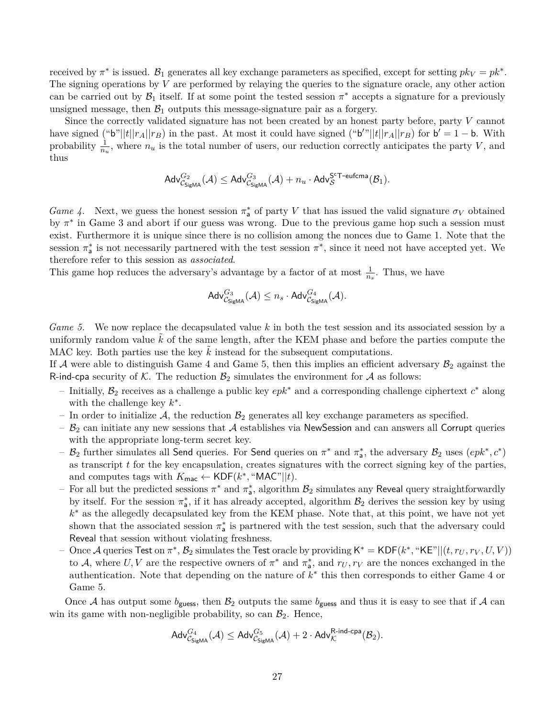received by  $\pi^*$  is issued.  $\mathcal{B}_1$  generates all key exchange parameters as specified, except for setting  $pk_V = pk^*$ . The signing operations by *V* are performed by relaying the queries to the signature oracle, any other action can be carried out by  $\mathcal{B}_1$  itself. If at some point the tested session  $\pi^*$  accepts a signature for a previously unsigned message, then  $\mathcal{B}_1$  outputs this message-signature pair as a forgery.

Since the correctly validated signature has not been created by an honest party before, party *V* cannot have signed ("b"||t|| $r_A$ || $r_B$ ) in the past. At most it could have signed ("b"||t|| $r_A$ || $r_B$ ) for  $b' = 1 - b$ . With probability  $\frac{1}{n_u}$ , where  $n_u$  is the total number of users, our reduction correctly anticipates the party *V*, and thus

$$
\mathsf{Adv}^{G_2}_{\mathcal{C}_{\mathsf{SigMA}}}(\mathcal{A}) \leq \mathsf{Adv}^{G_3}_{\mathcal{C}_{\mathsf{SigMA}}}(\mathcal{A}) + n_u \cdot \mathsf{Adv}^{\mathsf{S}^{\mathsf{c}}\mathsf{T}\text{-}{\rm eufcma}}_{\mathcal{S}}(\mathcal{B}_1).
$$

<span id="page-26-0"></span>*Game 4.* Next, we guess the honest session  $\pi_{\mathsf{a}}^*$  of party *V* that has issued the valid signature  $\sigma_V$  obtained by  $\pi^*$  in Game [3](#page-13-1) and abort if our guess was wrong. Due to the previous game hop such a session must exist. Furthermore it is unique since there is no collision among the nonces due to Game [1.](#page-12-1) Note that the session  $\pi^*$  is not necessarily partnered with the test session  $\pi^*$ , since it need not have accepted yet. We therefore refer to this session as *associated*.

This game hop reduces the adversary's advantage by a factor of at most  $\frac{1}{n_s}$ . Thus, we have

$$
\mathsf{Adv}_{\mathcal{C}_{\mathsf{SigMA}}}^{G_3}(\mathcal{A}) \leq n_s \cdot \mathsf{Adv}_{\mathcal{C}_{\mathsf{SigMA}}}^{G_4}(\mathcal{A}).
$$

<span id="page-26-1"></span>*Game 5.* We now replace the decapsulated value *k* in both the test session and its associated session by a uniformly random value  $\tilde{k}$  of the same length, after the KEM phase and before the parties compute the MAC key. Both parties use the key  $\hat{k}$  instead for the subsequent computations.

If A were able to distinguish Game [4](#page-26-0) and Game [5,](#page-26-1) then this implies an efficient adversary  $\mathcal{B}_2$  against the R-ind-cpa security of K. The reduction  $\mathcal{B}_2$  simulates the environment for A as follows:

- Initially, B<sup>2</sup> receives as a challenge a public key *epk*<sup>∗</sup> and a corresponding challenge ciphertext *c* <sup>∗</sup> along with the challenge key  $k^*$ .
- In order to initialize  $\mathcal{A}$ , the reduction  $\mathcal{B}_2$  generates all key exchange parameters as specified.
- $B_2$  can initiate any new sessions that A establishes via NewSession and can answers all Corrupt queries with the appropriate long-term secret key.
- $\mathcal{B}_2$  further simulates all Send queries. For Send queries on  $\pi^*$  and  $\pi^*_{\mathsf{a}}$ , the adversary  $\mathcal{B}_2$  uses  $(epk^*, c^*)$ as transcript *t* for the key encapsulation, creates signatures with the correct signing key of the parties, and computes tags with  $K_{\text{mac}} \leftarrow \text{KDF}(k^*, \text{``MAC''}||t)$ .
- $-$  For all but the predicted sessions  $\pi^*$  and  $\pi^*_a$ , algorithm  $\mathcal{B}_2$  simulates any Reveal query straightforwardly by itself. For the session  $\pi_a^*$ , if it has already accepted, algorithm  $\mathcal{B}_2$  derives the session key by using *k* <sup>∗</sup> as the allegedly decapsulated key from the KEM phase. Note that, at this point, we have not yet shown that the associated session  $\pi^*_{\mathsf{a}}$  is partnered with the test session, such that the adversary could Reveal that session without violating freshness.
- $\sim$  Once A queries Test on  $\pi^*$ ,  $\mathcal{B}_2$  simulates the Test oracle by providing  $\mathsf{K}^* = \mathsf{KDF}(k^*, \text{``KE"} || (t, r_U, r_V, U, V))$ to A, where  $U, V$  are the respective owners of  $\pi^*$  and  $\pi^*$ , and  $r_U, r_V$  are the nonces exchanged in the authentication. Note that depending on the nature of *k* ∗ this then corresponds to either Game [4](#page-26-0) or Game [5.](#page-26-1)

<span id="page-26-2"></span>Once A has output some  $b_{\text{guess}}$ , then  $B_2$  outputs the same  $b_{\text{guess}}$  and thus it is easy to see that if A can win its game with non-negligible probability, so can  $\mathcal{B}_2$ . Hence,

$$
\mathsf{Adv}^{G_4}_{\mathcal{C}_{\mathsf{SigMA}}}(\mathcal{A}) \leq \mathsf{Adv}^{G_5}_{\mathcal{C}_{\mathsf{SigMA}}}(\mathcal{A}) + 2 \cdot \mathsf{Adv}^{\mathsf{R-ind-cpa}}_{\mathcal{K}}(\mathcal{B}_2).
$$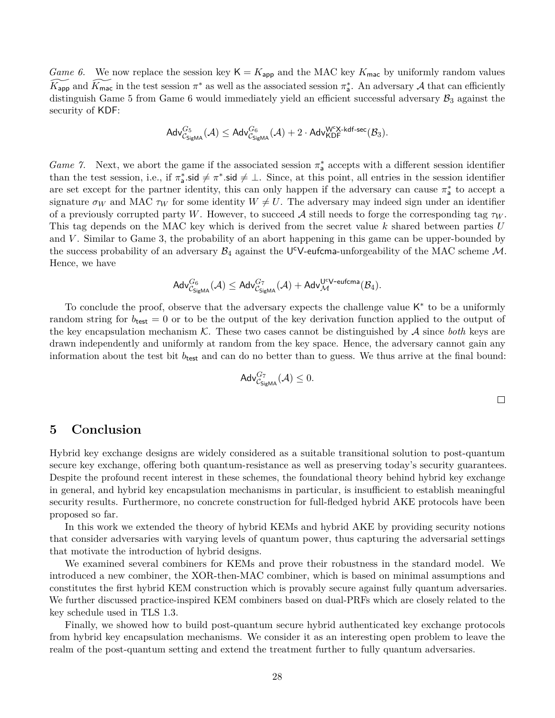*Game 6.* We now replace the session key  $K = K_{app}$  and the MAC key  $K_{\text{mac}}$  by uniformly random values  $\widetilde{K_{\text{app}}}$  and  $\widetilde{K_{\text{mac}}}$  in the test session  $\pi^*$  as well as the associated session  $\pi^*_{\mathsf{a}}$ . An adversary A that can efficiently distinguish Game [5](#page-26-1) from Game [6](#page-26-2) would immediately yield an efficient successful adversary  $\mathcal{B}_3$  against the security of KDF:

$$
\mathsf{Adv}^{G_5}_{\mathcal{C}_{\mathsf{SigMA}}}(\mathcal{A}) \leq \mathsf{Adv}^{G_6}_{\mathcal{C}_{\mathsf{SigMA}}}(\mathcal{A}) + 2 \cdot \mathsf{Adv}^{\mathsf{W}^{\mathsf{c}}\mathsf{X}\text{-}\mathsf{kdf\text{-}\mathsf{sec}}}(\mathcal{B}_3).
$$

*Game 7.* Next, we abort the game if the associated session  $\pi_{\mathsf{a}}^*$  accepts with a different session identifier than the test session, i.e., if  $\pi_a^*$  sid  $\neq \pi^*$  sid  $\neq \bot$ . Since, at this point, all entries in the session identifier are set except for the partner identity, this can only happen if the adversary can cause  $\pi_a^*$  to accept a signature  $\sigma_W$  and MAC  $\tau_W$  for some identity  $W \neq U$ . The adversary may indeed sign under an identifier of a previously corrupted party *W*. However, to succeed A still needs to forge the corresponding tag  $\tau_W$ . This tag depends on the MAC key which is derived from the secret value *k* shared between parties *U* and *V* . Similar to Game [3,](#page-13-1) the probability of an abort happening in this game can be upper-bounded by the success probability of an adversary  $\mathcal{B}_4$  against the U<sup>c</sup>V-eufcma-unforgeability of the MAC scheme M. Hence, we have

$$
\mathsf{Adv}^{G_6}_{\mathcal{C}_{\mathsf{SigMA}}}(\mathcal{A}) \leq \mathsf{Adv}^{G_7}_{\mathcal{C}_{\mathsf{SigMA}}}(\mathcal{A}) + \mathsf{Adv}^{U^cV\text{-eufcma}}_{\mathcal{M}}(\mathcal{B}_4).
$$

To conclude the proof, observe that the adversary expects the challenge value K<sup>\*</sup> to be a uniformly random string for  $b_{\text{test}} = 0$  or to be the output of the key derivation function applied to the output of the key encapsulation mechanism  $\mathcal K$ . These two cases cannot be distinguished by  $\mathcal A$  since *both* keys are drawn independently and uniformly at random from the key space. Hence, the adversary cannot gain any information about the test bit  $b_{\text{test}}$  and can do no better than to guess. We thus arrive at the final bound:

$$
\mathsf{Adv}^{G_7}_{\mathcal{C}_{\mathsf{SigMA}}}(\mathcal{A}) \leq 0.
$$

 $\Box$ 

### <span id="page-27-0"></span>**5 Conclusion**

Hybrid key exchange designs are widely considered as a suitable transitional solution to post-quantum secure key exchange, offering both quantum-resistance as well as preserving today's security guarantees. Despite the profound recent interest in these schemes, the foundational theory behind hybrid key exchange in general, and hybrid key encapsulation mechanisms in particular, is insufficient to establish meaningful security results. Furthermore, no concrete construction for full-fledged hybrid AKE protocols have been proposed so far.

In this work we extended the theory of hybrid KEMs and hybrid AKE by providing security notions that consider adversaries with varying levels of quantum power, thus capturing the adversarial settings that motivate the introduction of hybrid designs.

We examined several combiners for KEMs and prove their robustness in the standard model. We introduced a new combiner, the XOR-then-MAC combiner, which is based on minimal assumptions and constitutes the first hybrid KEM construction which is provably secure against fully quantum adversaries. We further discussed practice-inspired KEM combiners based on dual-PRFs which are closely related to the key schedule used in TLS 1.3.

Finally, we showed how to build post-quantum secure hybrid authenticated key exchange protocols from hybrid key encapsulation mechanisms. We consider it as an interesting open problem to leave the realm of the post-quantum setting and extend the treatment further to fully quantum adversaries.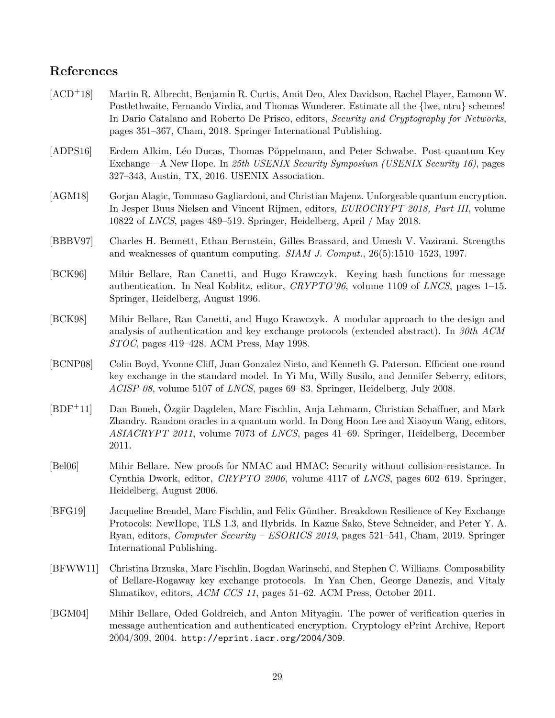# **References**

<span id="page-28-11"></span><span id="page-28-10"></span><span id="page-28-9"></span><span id="page-28-8"></span><span id="page-28-7"></span><span id="page-28-6"></span><span id="page-28-5"></span><span id="page-28-4"></span><span id="page-28-3"></span><span id="page-28-2"></span><span id="page-28-1"></span><span id="page-28-0"></span>

| $[ACD+18]$  | Martin R. Albrecht, Benjamin R. Curtis, Amit Deo, Alex Davidson, Rachel Player, Eamonn W.<br>Postlethwaite, Fernando Virdia, and Thomas Wunderer. Estimate all the {lwe, ntru} schemes!<br>In Dario Catalano and Roberto De Prisco, editors, Security and Cryptography for Networks,<br>pages 351–367, Cham, 2018. Springer International Publishing. |  |  |
|-------------|-------------------------------------------------------------------------------------------------------------------------------------------------------------------------------------------------------------------------------------------------------------------------------------------------------------------------------------------------------|--|--|
| [ADPS16]    | Erdem Alkim, Léo Ducas, Thomas Pöppelmann, and Peter Schwabe. Post-quantum Key<br>Exchange—A New Hope. In 25th USENIX Security Symposium (USENIX Security 16), pages<br>327-343, Austin, TX, 2016. USENIX Association.                                                                                                                                |  |  |
| [AGM18]     | Gorjan Alagic, Tommaso Gagliardoni, and Christian Majenz. Unforgeable quantum encryption.<br>In Jesper Buus Nielsen and Vincent Rijmen, editors, <i>EUROCRYPT 2018</i> , <i>Part III</i> , volume<br>10822 of <i>LNCS</i> , pages 489–519. Springer, Heidelberg, April / May 2018.                                                                    |  |  |
| [BBBV97]    | Charles H. Bennett, Ethan Bernstein, Gilles Brassard, and Umesh V. Vazirani. Strengths<br>and weaknesses of quantum computing. <i>SIAM J. Comput.</i> , 26(5):1510–1523, 1997.                                                                                                                                                                        |  |  |
| [BCK96]     | Mihir Bellare, Ran Canetti, and Hugo Krawczyk. Keying hash functions for message<br>authentication. In Neal Koblitz, editor, <i>CRYPTO</i> '96, volume 1109 of <i>LNCS</i> , pages 1–15.<br>Springer, Heidelberg, August 1996.                                                                                                                        |  |  |
| [BCK98]     | Mihir Bellare, Ran Canetti, and Hugo Krawczyk. A modular approach to the design and<br>analysis of authentication and key exchange protocols (extended abstract). In 30th ACM<br>$STOC$ , pages 419–428. ACM Press, May 1998.                                                                                                                         |  |  |
| [BCNP08]    | Colin Boyd, Yvonne Cliff, Juan Gonzalez Nieto, and Kenneth G. Paterson. Efficient one-round<br>key exchange in the standard model. In Yi Mu, Willy Susilo, and Jennifer Seberry, editors,<br>ACISP 08, volume 5107 of LNCS, pages 69-83. Springer, Heidelberg, July 2008.                                                                             |  |  |
| $[BDF^+11]$ | Dan Boneh, Özgür Dagdelen, Marc Fischlin, Anja Lehmann, Christian Schaffner, and Mark<br>Zhandry. Random oracles in a quantum world. In Dong Hoon Lee and Xiaoyun Wang, editors,<br>ASIACRYPT 2011, volume 7073 of LNCS, pages 41–69. Springer, Heidelberg, December<br>2011.                                                                         |  |  |
| [Bel06]     | Mihir Bellare. New proofs for NMAC and HMAC: Security without collision-resistance. In<br>Cynthia Dwork, editor, CRYPTO 2006, volume 4117 of LNCS, pages 602–619. Springer,<br>Heidelberg, August 2006.                                                                                                                                               |  |  |
| [BFG19]     | Jacqueline Brendel, Marc Fischlin, and Felix Günther. Breakdown Resilience of Key Exchange<br>Protocols: NewHope, TLS 1.3, and Hybrids. In Kazue Sako, Steve Schneider, and Peter Y. A.<br>Ryan, editors, <i>Computer Security – ESORICS 2019</i> , pages 521–541, Cham, 2019. Springer<br>International Publishing.                                  |  |  |
| [BFWW11]    | Christina Brzuska, Marc Fischlin, Bogdan Warinschi, and Stephen C. Williams. Composability<br>of Bellare-Rogaway key exchange protocols. In Yan Chen, George Danezis, and Vitaly<br>Shmatikov, editors, ACM CCS 11, pages 51-62. ACM Press, October 2011.                                                                                             |  |  |
| [BGM04]     | Mihir Bellare, Oded Goldreich, and Anton Mityagin. The power of verification queries in<br>message authentication and authenticated encryption. Cryptology ePrint Archive, Report<br>$2004/309, 2004.$ http://eprint.iacr.org/2004/309.                                                                                                               |  |  |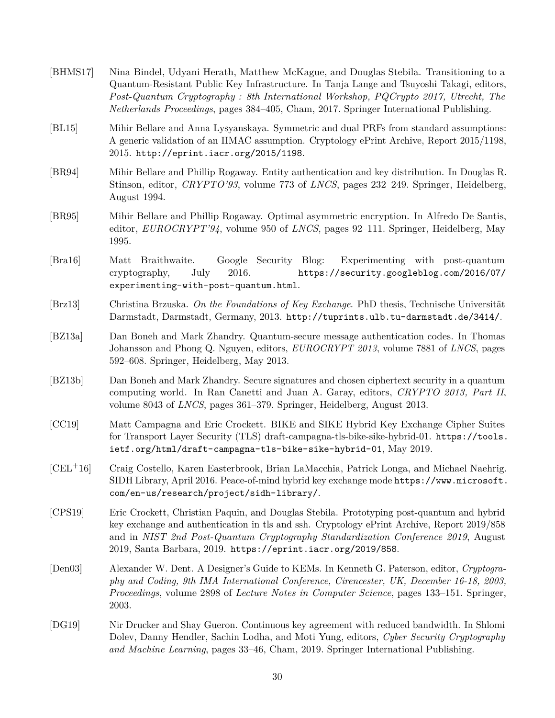<span id="page-29-12"></span><span id="page-29-11"></span><span id="page-29-10"></span><span id="page-29-9"></span><span id="page-29-8"></span><span id="page-29-7"></span><span id="page-29-6"></span><span id="page-29-5"></span><span id="page-29-4"></span><span id="page-29-3"></span><span id="page-29-2"></span><span id="page-29-1"></span><span id="page-29-0"></span>

| [BHMS17]                    | Nina Bindel, Udyani Herath, Matthew McKague, and Douglas Stebila. Transitioning to a<br>Quantum-Resistant Public Key Infrastructure. In Tanja Lange and Tsuyoshi Takagi, editors,<br>Post-Quantum Cryptography: 8th International Workshop, PQCrypto 2017, Utrecht, The<br>Netherlands Proceedings, pages 384–405, Cham, 2017. Springer International Publishing. |
|-----------------------------|-------------------------------------------------------------------------------------------------------------------------------------------------------------------------------------------------------------------------------------------------------------------------------------------------------------------------------------------------------------------|
| BL15                        | Mihir Bellare and Anna Lysyanskaya. Symmetric and dual PRFs from standard assumptions:<br>A generic validation of an HMAC assumption. Cryptology ePrint Archive, Report 2015/1198,<br>2015. http://eprint.iacr.org/2015/1198.                                                                                                                                     |
| [BR94]                      | Mihir Bellare and Phillip Rogaway. Entity authentication and key distribution. In Douglas R.<br>Stinson, editor, CRYPTO'93, volume 773 of LNCS, pages 232-249. Springer, Heidelberg,<br>August 1994.                                                                                                                                                              |
| [BR95]                      | Mihir Bellare and Phillip Rogaway. Optimal asymmetric encryption. In Alfredo De Santis,<br>editor, $EUROCRYPT'94$ , volume 950 of <i>LNCS</i> , pages 92-111. Springer, Heidelberg, May<br>1995.                                                                                                                                                                  |
| $\left[\text{Bra}16\right]$ | Google Security Blog:<br>Experimenting with post-quantum<br>Braithwaite.<br>Matt<br>2016.<br>https://security.googleblog.com/2016/07/<br>cryptography,<br>July<br>experimenting-with-post-quantum.html.                                                                                                                                                           |
| $\left[\text{Brz}13\right]$ | Christina Brzuska. On the Foundations of Key Exchange. PhD thesis, Technische Universität<br>Darmstadt, Darmstadt, Germany, 2013. http://tuprints.ulb.tu-darmstadt.de/3414/.                                                                                                                                                                                      |
| $[{\rm BZ13a}]$             | Dan Boneh and Mark Zhandry. Quantum-secure message authentication codes. In Thomas<br>Johansson and Phong Q. Nguyen, editors, EUROCRYPT 2013, volume 7881 of LNCS, pages<br>592–608. Springer, Heidelberg, May 2013.                                                                                                                                              |
| $[{\rm BZ13b}]$             | Dan Boneh and Mark Zhandry. Secure signatures and chosen ciphertext security in a quantum<br>computing world. In Ran Canetti and Juan A. Garay, editors, CRYPTO 2013, Part II,<br>volume 8043 of <i>LNCS</i> , pages 361–379. Springer, Heidelberg, August 2013.                                                                                                  |
| [CC19]                      | Matt Campagna and Eric Crockett. BIKE and SIKE Hybrid Key Exchange Cipher Suites<br>for Transport Layer Security (TLS) draft-campagna-tls-bike-sike-hybrid-01. https://tools.<br>ietf.org/html/draft-campagna-tls-bike-sike-hybrid-01, May 2019.                                                                                                                  |
| $[CELL+16]$                 | Craig Costello, Karen Easterbrook, Brian LaMacchia, Patrick Longa, and Michael Naehrig.<br>SIDH Library, April 2016. Peace-of-mind hybrid key exchange mode https://www.microsoft.<br>com/en-us/research/project/sidh-library/.                                                                                                                                   |
| [CPS19]                     | Eric Crockett, Christian Paquin, and Douglas Stebila. Prototyping post-quantum and hybrid<br>key exchange and authentication in tls and ssh. Cryptology ePrint Archive, Report 2019/858<br>and in NIST 2nd Post-Quantum Cryptography Standardization Conference 2019, August<br>2019, Santa Barbara, 2019. https://eprint.iacr.org/2019/858.                      |
| [Den 03]                    | Alexander W. Dent. A Designer's Guide to KEMs. In Kenneth G. Paterson, editor, Cryptogra-<br>phy and Coding, 9th IMA International Conference, Cirencester, UK, December 16-18, 2003,<br><i>Proceedings</i> , volume 2898 of <i>Lecture Notes in Computer Science</i> , pages 133–151. Springer,<br>2003.                                                         |
| [DG19]                      | Nir Drucker and Shay Gueron. Continuous key agreement with reduced bandwidth. In Shlomi<br>Dolev, Danny Hendler, Sachin Lodha, and Moti Yung, editors, Cyber Security Cryptography<br>and Machine Learning, pages 33–46, Cham, 2019. Springer International Publishing.                                                                                           |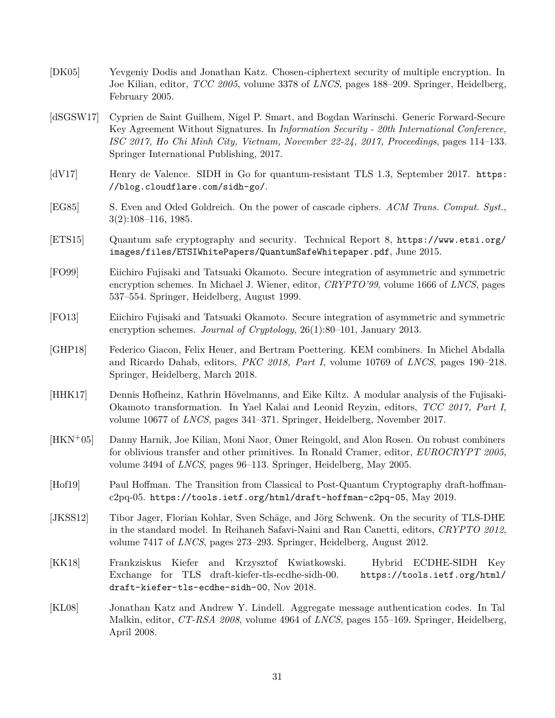- <span id="page-30-1"></span>[DK05] Yevgeniy Dodis and Jonathan Katz. Chosen-ciphertext security of multiple encryption. In Joe Kilian, editor, *TCC 2005*, volume 3378 of *LNCS*, pages 188–209. Springer, Heidelberg, February 2005.
- <span id="page-30-13"></span>[dSGSW17] Cyprien de Saint Guilhem, Nigel P. Smart, and Bogdan Warinschi. Generic Forward-Secure Key Agreement Without Signatures. In *Information Security - 20th International Conference, ISC 2017, Ho Chi Minh City, Vietnam, November 22-24, 2017, Proceedings*, pages 114–133. Springer International Publishing, 2017.
- <span id="page-30-5"></span>[dV17] Henry de Valence. SIDH in Go for quantum-resistant TLS 1.3, September 2017. [https:](https://blog.cloudflare.com/sidh-go/) [//blog.cloudflare.com/sidh-go/](https://blog.cloudflare.com/sidh-go/).
- <span id="page-30-0"></span>[EG85] S. Even and Oded Goldreich. On the power of cascade ciphers. *ACM Trans. Comput. Syst.*, 3(2):108–116, 1985.
- <span id="page-30-6"></span>[ETS15] Quantum safe cryptography and security. Technical Report 8, [https://www.etsi.org/](https://www.etsi.org/images/files/ETSIWhitePapers/QuantumSafeWhitepaper.pdf) [images/files/ETSIWhitePapers/QuantumSafeWhitepaper.pdf](https://www.etsi.org/images/files/ETSIWhitePapers/QuantumSafeWhitepaper.pdf), June 2015.
- <span id="page-30-9"></span>[FO99] Eiichiro Fujisaki and Tatsuaki Okamoto. Secure integration of asymmetric and symmetric encryption schemes. In Michael J. Wiener, editor, *CRYPTO'99*, volume 1666 of *LNCS*, pages 537–554. Springer, Heidelberg, August 1999.
- <span id="page-30-10"></span>[FO13] Eiichiro Fujisaki and Tatsuaki Okamoto. Secure integration of asymmetric and symmetric encryption schemes. *Journal of Cryptology*, 26(1):80–101, January 2013.
- <span id="page-30-3"></span>[GHP18] Federico Giacon, Felix Heuer, and Bertram Poettering. KEM combiners. In Michel Abdalla and Ricardo Dahab, editors, *PKC 2018, Part I*, volume 10769 of *LNCS*, pages 190–218. Springer, Heidelberg, March 2018.
- <span id="page-30-8"></span>[HHK17] Dennis Hofheinz, Kathrin Hövelmanns, and Eike Kiltz. A modular analysis of the Fujisaki-Okamoto transformation. In Yael Kalai and Leonid Reyzin, editors, *TCC 2017, Part I*, volume 10677 of *LNCS*, pages 341–371. Springer, Heidelberg, November 2017.
- <span id="page-30-2"></span>[HKN+05] Danny Harnik, Joe Kilian, Moni Naor, Omer Reingold, and Alon Rosen. On robust combiners for oblivious transfer and other primitives. In Ronald Cramer, editor, *EUROCRYPT 2005*, volume 3494 of *LNCS*, pages 96–113. Springer, Heidelberg, May 2005.
- <span id="page-30-7"></span>[Hof19] Paul Hoffman. The Transition from Classical to Post-Quantum Cryptography draft-hoffmanc2pq-05. <https://tools.ietf.org/html/draft-hoffman-c2pq-05>, May 2019.
- <span id="page-30-12"></span>[JKSS12] Tibor Jager, Florian Kohlar, Sven Schäge, and Jörg Schwenk. On the security of TLS-DHE in the standard model. In Reihaneh Safavi-Naini and Ran Canetti, editors, *CRYPTO 2012*, volume 7417 of *LNCS*, pages 273–293. Springer, Heidelberg, August 2012.
- <span id="page-30-4"></span>[KK18] Frankziskus Kiefer and Krzysztof Kwiatkowski. Hybrid ECDHE-SIDH Key Exchange for TLS draft-kiefer-tls-ecdhe-sidh-00. [https://tools.ietf.org/html/](https://tools.ietf.org/html/draft-kiefer-tls-ecdhe-sidh-00) [draft-kiefer-tls-ecdhe-sidh-00](https://tools.ietf.org/html/draft-kiefer-tls-ecdhe-sidh-00), Nov 2018.
- <span id="page-30-11"></span>[KL08] Jonathan Katz and Andrew Y. Lindell. Aggregate message authentication codes. In Tal Malkin, editor, *CT-RSA 2008*, volume 4964 of *LNCS*, pages 155–169. Springer, Heidelberg, April 2008.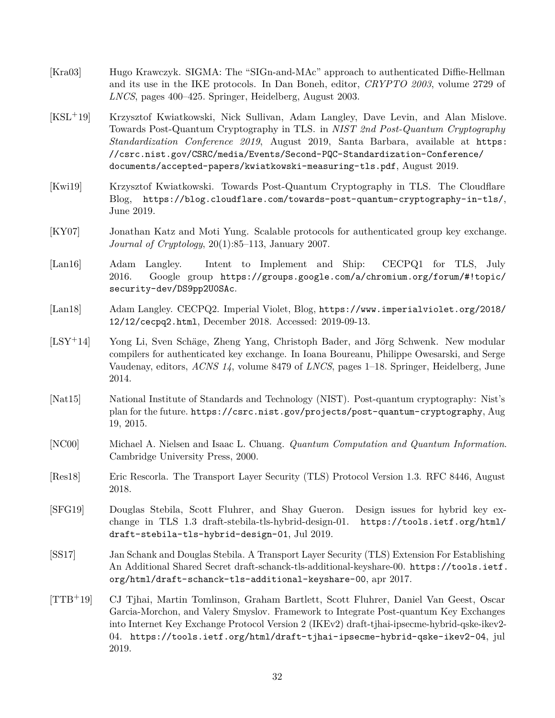- <span id="page-31-9"></span>[Kra03] Hugo Krawczyk. SIGMA: The "SIGn-and-MAc" approach to authenticated Diffie-Hellman and its use in the IKE protocols. In Dan Boneh, editor, *CRYPTO 2003*, volume 2729 of *LNCS*, pages 400–425. Springer, Heidelberg, August 2003.
- <span id="page-31-3"></span>[KSL+19] Krzysztof Kwiatkowski, Nick Sullivan, Adam Langley, Dave Levin, and Alan Mislove. Towards Post-Quantum Cryptography in TLS. in *NIST 2nd Post-Quantum Cryptography Standardization Conference 2019*, August 2019, Santa Barbara, available at [https:](https://csrc.nist.gov/CSRC/media/Events/Second-PQC-Standardization-Conference/documents/accepted-papers/kwiatkowski-measuring-tls.pdf) [//csrc.nist.gov/CSRC/media/Events/Second-PQC-Standardization-Conference/](https://csrc.nist.gov/CSRC/media/Events/Second-PQC-Standardization-Conference/documents/accepted-papers/kwiatkowski-measuring-tls.pdf) [documents/accepted-papers/kwiatkowski-measuring-tls.pdf](https://csrc.nist.gov/CSRC/media/Events/Second-PQC-Standardization-Conference/documents/accepted-papers/kwiatkowski-measuring-tls.pdf), August 2019.
- <span id="page-31-2"></span>[Kwi19] Krzysztof Kwiatkowski. Towards Post-Quantum Cryptography in TLS. The Cloudflare Blog, <https://blog.cloudflare.com/towards-post-quantum-cryptography-in-tls/>, June 2019.
- <span id="page-31-10"></span>[KY07] Jonathan Katz and Moti Yung. Scalable protocols for authenticated group key exchange. *Journal of Cryptology*, 20(1):85–113, January 2007.
- <span id="page-31-0"></span>[Lan16] Adam Langley. Intent to Implement and Ship: CECPQ1 for TLS, July 2016. Google group [https://groups.google.com/a/chromium.org/forum/#!topic/](https://groups.google.com/a/chromium.org/forum/#!topic/security-dev/DS9pp2U0SAc) [security-dev/DS9pp2U0SAc](https://groups.google.com/a/chromium.org/forum/#!topic/security-dev/DS9pp2U0SAc).
- <span id="page-31-1"></span>[Lan18] Adam Langley. CECPQ2. Imperial Violet, Blog, [https://www.imperialviolet.org/2018/](https://www.imperialviolet.org/2018/12/12/cecpq2.html) [12/12/cecpq2.html](https://www.imperialviolet.org/2018/12/12/cecpq2.html), December 2018. Accessed: 2019-09-13.
- <span id="page-31-11"></span>[LSY+14] Yong Li, Sven Schäge, Zheng Yang, Christoph Bader, and Jörg Schwenk. New modular compilers for authenticated key exchange. In Ioana Boureanu, Philippe Owesarski, and Serge Vaudenay, editors, *ACNS 14*, volume 8479 of *LNCS*, pages 1–18. Springer, Heidelberg, June 2014.
- <span id="page-31-4"></span>[Nat15] National Institute of Standards and Technology (NIST). Post-quantum cryptography: Nist's plan for the future. <https://csrc.nist.gov/projects/post-quantum-cryptography>, Aug 19, 2015.
- <span id="page-31-12"></span>[NC00] Michael A. Nielsen and Isaac L. Chuang. *Quantum Computation and Quantum Information*. Cambridge University Press, 2000.
- <span id="page-31-8"></span>[Res18] Eric Rescorla. The Transport Layer Security (TLS) Protocol Version 1.3. RFC 8446, August 2018.
- <span id="page-31-5"></span>[SFG19] Douglas Stebila, Scott Fluhrer, and Shay Gueron. Design issues for hybrid key exchange in TLS 1.3 draft-stebila-tls-hybrid-design-01. [https://tools.ietf.org/html/](https://tools.ietf.org/html/draft-stebila-tls-hybrid-design-01) [draft-stebila-tls-hybrid-design-01](https://tools.ietf.org/html/draft-stebila-tls-hybrid-design-01), Jul 2019.
- <span id="page-31-6"></span>[SS17] Jan Schank and Douglas Stebila. A Transport Layer Security (TLS) Extension For Establishing An Additional Shared Secret draft-schanck-tls-additional-keyshare-00. [https://tools.ietf.](https://tools.ietf.org/html/draft-schanck-tls-additional-keyshare-00) [org/html/draft-schanck-tls-additional-keyshare-00](https://tools.ietf.org/html/draft-schanck-tls-additional-keyshare-00), apr 2017.
- <span id="page-31-7"></span>[TTB+19] CJ Tjhai, Martin Tomlinson, Graham Bartlett, Scott Fluhrer, Daniel Van Geest, Oscar Garcia-Morchon, and Valery Smyslov. Framework to Integrate Post-quantum Key Exchanges into Internet Key Exchange Protocol Version 2 (IKEv2) draft-tjhai-ipsecme-hybrid-qske-ikev2- 04. <https://tools.ietf.org/html/draft-tjhai-ipsecme-hybrid-qske-ikev2-04>, jul 2019.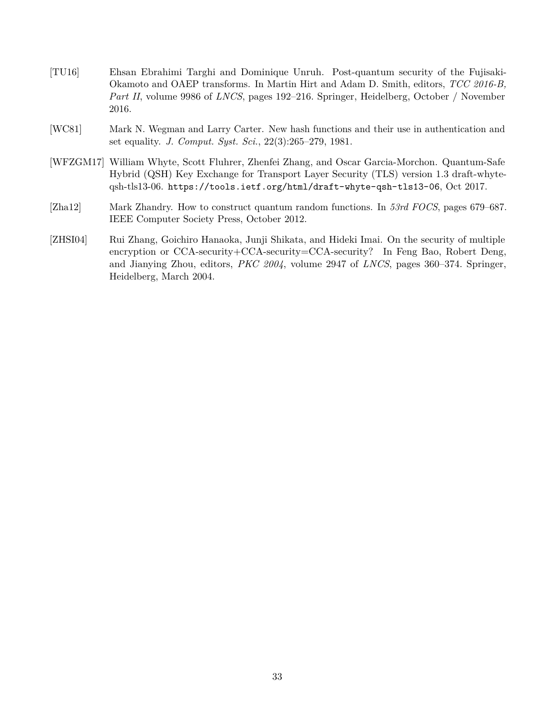- <span id="page-32-3"></span>[TU16] Ehsan Ebrahimi Targhi and Dominique Unruh. Post-quantum security of the Fujisaki-Okamoto and OAEP transforms. In Martin Hirt and Adam D. Smith, editors, *TCC 2016-B, Part II*, volume 9986 of *LNCS*, pages 192–216. Springer, Heidelberg, October / November 2016.
- <span id="page-32-4"></span>[WC81] Mark N. Wegman and Larry Carter. New hash functions and their use in authentication and set equality. *J. Comput. Syst. Sci.*, 22(3):265–279, 1981.
- <span id="page-32-1"></span>[WFZGM17] William Whyte, Scott Fluhrer, Zhenfei Zhang, and Oscar Garcia-Morchon. Quantum-Safe Hybrid (QSH) Key Exchange for Transport Layer Security (TLS) version 1.3 draft-whyteqsh-tls13-06. <https://tools.ietf.org/html/draft-whyte-qsh-tls13-06>, Oct 2017.
- <span id="page-32-2"></span>[Zha12] Mark Zhandry. How to construct quantum random functions. In *53rd FOCS*, pages 679–687. IEEE Computer Society Press, October 2012.
- <span id="page-32-0"></span>[ZHSI04] Rui Zhang, Goichiro Hanaoka, Junji Shikata, and Hideki Imai. On the security of multiple encryption or CCA-security+CCA-security=CCA-security? In Feng Bao, Robert Deng, and Jianying Zhou, editors, *PKC 2004*, volume 2947 of *LNCS*, pages 360–374. Springer, Heidelberg, March 2004.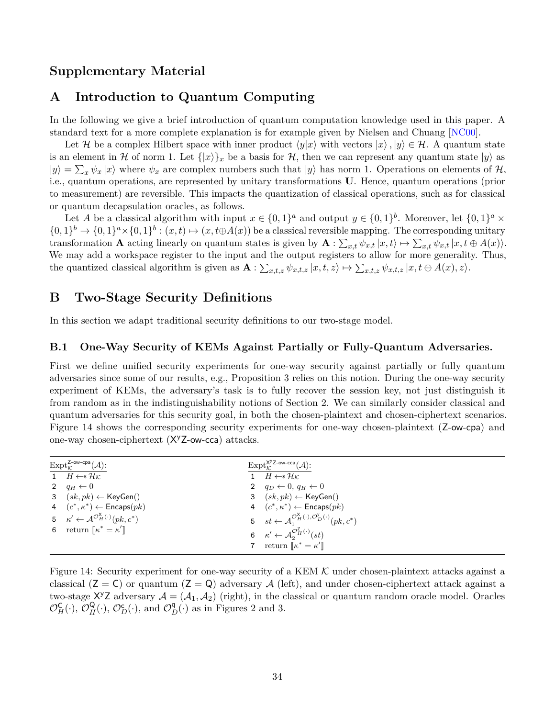## **Supplementary Material**

## <span id="page-33-0"></span>**A Introduction to Quantum Computing**

In the following we give a brief introduction of quantum computation knowledge used in this paper. A standard text for a more complete explanation is for example given by Nielsen and Chuang [\[NC00\]](#page-31-12).

Let H be a complex Hilbert space with inner product  $\langle y|x \rangle$  with vectors  $|x \rangle, |y \rangle \in \mathcal{H}$ . A quantum state is an element in H of norm 1. Let  $\{|x\rangle\}_x$  be a basis for H, then we can represent any quantum state  $|y\rangle$  as  $|y\rangle = \sum_{x} \psi_x |x\rangle$  where  $\psi_x$  are complex numbers such that  $|y\rangle$  has norm 1. Operations on elements of  $\mathcal{H}$ , i.e., quantum operations, are represented by unitary transformations **U**. Hence, quantum operations (prior to measurement) are reversible. This impacts the quantization of classical operations, such as for classical or quantum decapsulation oracles, as follows.

Let *A* be a classical algorithm with input  $x \in \{0,1\}^a$  and output  $y \in \{0,1\}^b$ . Moreover, let  $\{0,1\}^a \times$  $\{0,1\}^b \to \{0,1\}^a \times \{0,1\}^b : (x,t) \mapsto (x,t \oplus A(x))$  be a classical reversible mapping. The corresponding unitary transformation **A** acting linearly on quantum states is given by  $\mathbf{A}: \sum_{x,t} \psi_{x,t} |x,t\rangle \mapsto \sum_{x,t} \psi_{x,t} |x,t \oplus A(x)\rangle$ . We may add a workspace register to the input and the output registers to allow for more generality. Thus, the quantized classical algorithm is given as  $\mathbf{A}: \sum_{x,t,z} \psi_{x,t,z} | x, t, z \rangle \mapsto \sum_{x,t,z} \psi_{x,t,z} | x, t \oplus A(x), z \rangle$ .

## <span id="page-33-1"></span>**B Two-Stage Security Definitions**

In this section we adapt traditional security definitions to our two-stage model.

#### <span id="page-33-2"></span>**B.1 One-Way Security of KEMs Against Partially or Fully-Quantum Adversaries.**

First we define unified security experiments for one-way security against partially or fully quantum adversaries since some of our results, e.g., Proposition [3](#page-8-1) relies on this notion. During the one-way security experiment of KEMs, the adversary's task is to fully recover the session key, not just distinguish it from random as in the indistinguishability notions of Section [2.](#page-4-0) We can similarly consider classical and quantum adversaries for this security goal, in both the chosen-plaintext and chosen-ciphertext scenarios. Figure [14](#page-33-3) shows the corresponding security experiments for one-way chosen-plaintext (Z-ow-cpa) and one-way chosen-ciphertext (X<sup>y</sup>Z-ow-cca) attacks.

| $\mathrm{Expt}_{\kappa}^{\mathsf{Z-ow-cpa}}(\mathcal{A})$ :               | $\mathrm{Expt}_{\mathcal{K}}^{\mathsf{X}^{\mathsf{y}} \mathsf{Z}-\mathsf{ow-cca}}(\mathcal{A})$ :     |
|---------------------------------------------------------------------------|-------------------------------------------------------------------------------------------------------|
| $\overline{1}$ $H \leftarrow^* \mathcal{H_K}$                             | 1 $H \leftarrow^* \mathcal{H}_K$                                                                      |
| 2 $q_H \leftarrow 0$                                                      | 2 $q_D \leftarrow 0, q_H \leftarrow 0$                                                                |
| 3 $(sk, pk) \leftarrow \text{KeyGen}()$                                   | 3 $(sk, pk) \leftarrow \text{KeyGen}()$                                                               |
| 4 $(c^*, \kappa^*) \leftarrow$ Encaps $(pk)$                              | 4 $(c^*, \kappa^*) \leftarrow$ Encaps $(pk)$                                                          |
| 5 $\kappa' \leftarrow \mathcal{A}^{\mathcal{O}_H^{\chi}(\cdot)}(pk, c^*)$ | 5 $st \leftarrow \mathcal{A}_1^{\mathcal{O}_H^{\chi}(\cdot), \mathcal{O}_D^{\gamma}(\cdot)}(pk, c^*)$ |
| 6 return $\llbracket \kappa^* = \kappa' \rrbracket$                       | 6 $\kappa' \leftarrow \mathcal{A}_{2}^{\mathcal{O}_{H}^{Z}(\cdot)}(st)$                               |
|                                                                           | 7 return $\llbracket \kappa^* = \kappa' \rrbracket$                                                   |

<span id="page-33-3"></span>Figure 14: Security experiment for one-way security of a KEM  $K$  under chosen-plaintext attacks against a classical  $(Z = C)$  or quantum  $(Z = Q)$  adversary A (left), and under chosen-ciphertext attack against a two-stage  $X^{\gamma}Z$  adversary  $\mathcal{A} = (\mathcal{A}_1, \mathcal{A}_2)$  (right), in the classical or quantum random oracle model. Oracles  $\mathcal{O}_H^{\mathsf{C}}(\cdot), \mathcal{O}_H^{\mathsf{Q}}(\cdot), \mathcal{O}_D^{\mathsf{C}}(\cdot)$ , and  $\mathcal{O}_D^{\mathsf{q}}(\cdot)$  as in Figures [2](#page-6-0) and [3.](#page-7-3)